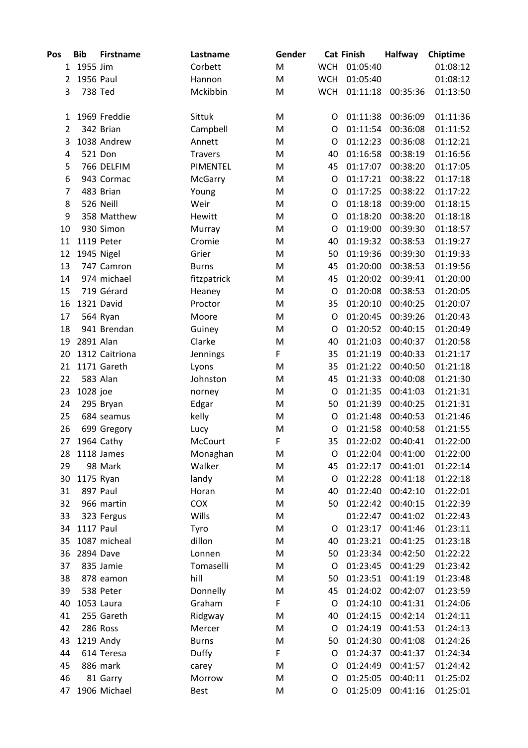| Pos            | <b>Bib</b>       | <b>Firstname</b> | Lastname       | Gender |            | <b>Cat Finish</b> | <b>Halfway</b> | <b>Chiptime</b> |
|----------------|------------------|------------------|----------------|--------|------------|-------------------|----------------|-----------------|
|                | 1 1955 Jim       |                  | Corbett        | M      | <b>WCH</b> | 01:05:40          |                | 01:08:12        |
| 2              | 1956 Paul        |                  | Hannon         | M      | <b>WCH</b> | 01:05:40          |                | 01:08:12        |
| 3              |                  | 738 Ted          | Mckibbin       | M      | <b>WCH</b> | 01:11:18          | 00:35:36       | 01:13:50        |
| 1              |                  | 1969 Freddie     | Sittuk         | M      | O          | 01:11:38          | 00:36:09       | 01:11:36        |
| $\overline{2}$ |                  | 342 Brian        | Campbell       | M      | O          | 01:11:54          | 00:36:08       | 01:11:52        |
| 3              |                  | 1038 Andrew      | Annett         | M      | O          | 01:12:23          | 00:36:08       | 01:12:21        |
| 4              |                  | 521 Don          | <b>Travers</b> | M      | 40         | 01:16:58          | 00:38:19       | 01:16:56        |
| 5              |                  | 766 DELFIM       | PIMENTEL       | M      | 45         | 01:17:07          | 00:38:20       | 01:17:05        |
| 6              |                  | 943 Cormac       | McGarry        | M      | O          | 01:17:21          | 00:38:22       | 01:17:18        |
| 7              |                  | 483 Brian        | Young          | M      | O          | 01:17:25          | 00:38:22       | 01:17:22        |
| 8              |                  | 526 Neill        | Weir           | M      | O          | 01:18:18          | 00:39:00       | 01:18:15        |
| 9              |                  | 358 Matthew      | Hewitt         | M      | O          | 01:18:20          | 00:38:20       | 01:18:18        |
| 10             |                  | 930 Simon        | Murray         | M      | O          | 01:19:00          | 00:39:30       | 01:18:57        |
| 11             |                  | 1119 Peter       | Cromie         | M      | 40         | 01:19:32          | 00:38:53       | 01:19:27        |
| 12             |                  | 1945 Nigel       | Grier          | M      | 50         | 01:19:36          | 00:39:30       | 01:19:33        |
| 13             |                  | 747 Camron       | <b>Burns</b>   | M      | 45         | 01:20:00          | 00:38:53       | 01:19:56        |
| 14             |                  | 974 michael      | fitzpatrick    | M      | 45         | 01:20:02          | 00:39:41       | 01:20:00        |
| 15             |                  | 719 Gérard       | Heaney         | M      | $\circ$    | 01:20:08          | 00:38:53       | 01:20:05        |
| 16             |                  | 1321 David       | Proctor        | M      | 35         | 01:20:10          | 00:40:25       | 01:20:07        |
| 17             |                  | 564 Ryan         | Moore          | M      | O          | 01:20:45          | 00:39:26       | 01:20:43        |
| 18             |                  | 941 Brendan      | Guiney         | M      | O          | 01:20:52          | 00:40:15       | 01:20:49        |
| 19             | 2891 Alan        |                  | Clarke         | M      | 40         | 01:21:03          | 00:40:37       | 01:20:58        |
| 20             |                  | 1312 Caitriona   | Jennings       | F      | 35         | 01:21:19          | 00:40:33       | 01:21:17        |
| 21             |                  | 1171 Gareth      | Lyons          | M      | 35         | 01:21:22          | 00:40:50       | 01:21:18        |
| 22             |                  | 583 Alan         | Johnston       | M      | 45         | 01:21:33          | 00:40:08       | 01:21:30        |
| 23             | 1028 joe         |                  | norney         | M      | O          | 01:21:35          | 00:41:03       | 01:21:31        |
| 24             |                  | 295 Bryan        | Edgar          | M      | 50         | 01:21:39          | 00:40:25       | 01:21:31        |
| 25             |                  | 684 seamus       | kelly          | M      | O          | 01:21:48          | 00:40:53       | 01:21:46        |
| 26             |                  | 699 Gregory      | Lucy           | M      | O          | 01:21:58          | 00:40:58       | 01:21:55        |
| 27             |                  | 1964 Cathy       | McCourt        | F      | 35         | 01:22:02          | 00:40:41       | 01:22:00        |
| 28             |                  | 1118 James       | Monaghan       | M      | 0          | 01:22:04          | 00:41:00       | 01:22:00        |
| 29             |                  | 98 Mark          | Walker         | M      | 45         | 01:22:17          | 00:41:01       | 01:22:14        |
| 30             |                  | 1175 Ryan        | landy          | M      | O          | 01:22:28          | 00:41:18       | 01:22:18        |
| 31             |                  | 897 Paul         | Horan          | M      | 40         | 01:22:40          | 00:42:10       | 01:22:01        |
| 32             |                  | 966 martin       | COX            | M      | 50         | 01:22:42          | 00:40:15       | 01:22:39        |
| 33             |                  | 323 Fergus       | Wills          | M      |            | 01:22:47          | 00:41:02       | 01:22:43        |
| 34             | <b>1117 Paul</b> |                  | Tyro           | M      | O          | 01:23:17          | 00:41:46       | 01:23:11        |
| 35             |                  | 1087 micheal     | dillon         | M      | 40         | 01:23:21          | 00:41:25       | 01:23:18        |
| 36             |                  | 2894 Dave        | Lonnen         | M      | 50         | 01:23:34          | 00:42:50       | 01:22:22        |
| 37             |                  | 835 Jamie        | Tomaselli      | M      | O          | 01:23:45          | 00:41:29       | 01:23:42        |
| 38             |                  | 878 eamon        | hill           | M      | 50         | 01:23:51          | 00:41:19       | 01:23:48        |
| 39             |                  | 538 Peter        | Donnelly       | M      | 45         | 01:24:02          | 00:42:07       | 01:23:59        |
| 40             |                  | 1053 Laura       | Graham         | F      | O          | 01:24:10          | 00:41:31       | 01:24:06        |
| 41             |                  | 255 Gareth       | Ridgway        | M      | 40         | 01:24:15          | 00:42:14       | 01:24:11        |
| 42             |                  | 286 Ross         | Mercer         | M      | O          | 01:24:19          | 00:41:53       | 01:24:13        |
| 43             |                  | 1219 Andy        | <b>Burns</b>   | M      | 50         | 01:24:30          | 00:41:08       | 01:24:26        |
| 44             |                  | 614 Teresa       | Duffy          | F      | O          | 01:24:37          | 00:41:37       | 01:24:34        |
| 45             |                  | 886 mark         | carey          | M      | O          | 01:24:49          | 00:41:57       | 01:24:42        |
| 46             |                  | 81 Garry         | Morrow         | M      | O          | 01:25:05          | 00:40:11       | 01:25:02        |
| 47             |                  | 1906 Michael     | Best           | M      | O          | 01:25:09          | 00:41:16       | 01:25:01        |
|                |                  |                  |                |        |            |                   |                |                 |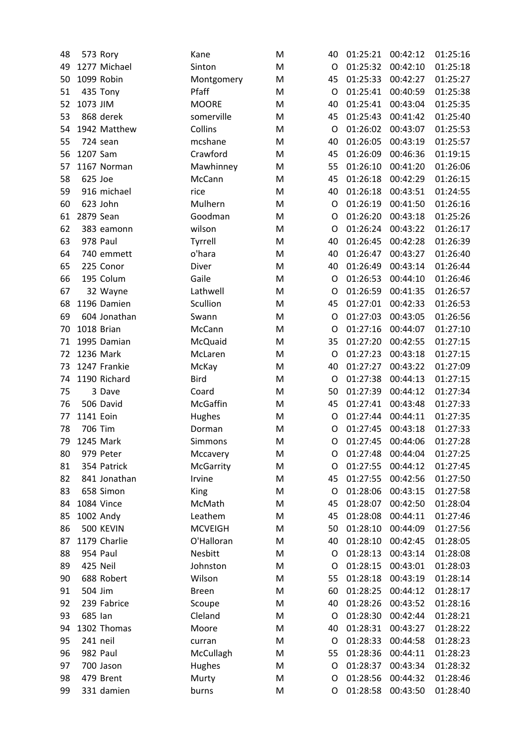| 48 |           | 573 Rory     | Kane           | M | 40 | 01:25:21 | 00:42:12 | 01:25:16 |
|----|-----------|--------------|----------------|---|----|----------|----------|----------|
| 49 |           | 1277 Michael | Sinton         | M | O  | 01:25:32 | 00:42:10 | 01:25:18 |
| 50 |           | 1099 Robin   | Montgomery     | M | 45 | 01:25:33 | 00:42:27 | 01:25:27 |
| 51 |           | 435 Tony     | Pfaff          | M | O  | 01:25:41 | 00:40:59 | 01:25:38 |
| 52 | 1073 JIM  |              | <b>MOORE</b>   | M | 40 | 01:25:41 | 00:43:04 | 01:25:35 |
| 53 |           | 868 derek    | somerville     | M | 45 | 01:25:43 | 00:41:42 | 01:25:40 |
| 54 |           | 1942 Matthew | Collins        | M | O  | 01:26:02 | 00:43:07 | 01:25:53 |
| 55 |           | 724 sean     | mcshane        | M | 40 | 01:26:05 | 00:43:19 | 01:25:57 |
| 56 | 1207 Sam  |              | Crawford       | M | 45 | 01:26:09 | 00:46:36 | 01:19:15 |
| 57 |           | 1167 Norman  | Mawhinney      | M | 55 | 01:26:10 | 00:41:20 | 01:26:06 |
| 58 | 625 Joe   |              | McCann         | M | 45 | 01:26:18 | 00:42:29 | 01:26:15 |
| 59 |           | 916 michael  | rice           | M | 40 | 01:26:18 | 00:43:51 | 01:24:55 |
| 60 |           | 623 John     | Mulhern        | M | O  | 01:26:19 | 00:41:50 | 01:26:16 |
| 61 | 2879 Sean |              | Goodman        | M | O  | 01:26:20 | 00:43:18 | 01:25:26 |
| 62 |           | 383 eamonn   | wilson         | M | O  | 01:26:24 | 00:43:22 | 01:26:17 |
| 63 |           | 978 Paul     | Tyrrell        | M | 40 | 01:26:45 | 00:42:28 | 01:26:39 |
| 64 |           | 740 emmett   | o'hara         | M | 40 | 01:26:47 | 00:43:27 | 01:26:40 |
| 65 |           | 225 Conor    | Diver          | M | 40 | 01:26:49 | 00:43:14 | 01:26:44 |
| 66 |           | 195 Colum    | Gaile          | M | O  | 01:26:53 | 00:44:10 | 01:26:46 |
| 67 |           | 32 Wayne     | Lathwell       | M | O  | 01:26:59 | 00:41:35 | 01:26:57 |
| 68 |           | 1196 Damien  | Scullion       | M | 45 | 01:27:01 | 00:42:33 | 01:26:53 |
| 69 |           | 604 Jonathan | Swann          | M | O  | 01:27:03 | 00:43:05 | 01:26:56 |
| 70 |           | 1018 Brian   | McCann         | M | O  | 01:27:16 | 00:44:07 | 01:27:10 |
| 71 |           | 1995 Damian  | McQuaid        | M | 35 | 01:27:20 | 00:42:55 | 01:27:15 |
| 72 |           | 1236 Mark    | McLaren        | M | O  | 01:27:23 | 00:43:18 | 01:27:15 |
| 73 |           | 1247 Frankie | McKay          | M | 40 | 01:27:27 | 00:43:22 | 01:27:09 |
| 74 |           | 1190 Richard | <b>Bird</b>    | M | O  | 01:27:38 | 00:44:13 | 01:27:15 |
| 75 |           | 3 Dave       | Coard          | M | 50 | 01:27:39 | 00:44:12 | 01:27:34 |
| 76 |           | 506 David    | McGaffin       | M | 45 | 01:27:41 | 00:43:48 | 01:27:33 |
| 77 | 1141 Eoin |              | Hughes         | M | O  | 01:27:44 | 00:44:11 | 01:27:35 |
| 78 | 706 Tim   |              | Dorman         | M | O  | 01:27:45 | 00:43:18 | 01:27:33 |
| 79 |           | 1245 Mark    | Simmons        | M | O  | 01:27:45 | 00:44:06 | 01:27:28 |
| 80 |           | 979 Peter    | Mccavery       | M | O  | 01:27:48 | 00:44:04 | 01:27:25 |
| 81 |           | 354 Patrick  | McGarrity      | M | O  | 01:27:55 | 00:44:12 | 01:27:45 |
| 82 |           | 841 Jonathan | Irvine         | M | 45 | 01:27:55 | 00:42:56 | 01:27:50 |
| 83 |           | 658 Simon    | King           | M | O  | 01:28:06 | 00:43:15 | 01:27:58 |
| 84 |           | 1084 Vince   | McMath         | M | 45 | 01:28:07 | 00:42:50 | 01:28:04 |
| 85 |           | 1002 Andy    | Leathem        | M | 45 | 01:28:08 | 00:44:11 | 01:27:46 |
| 86 |           | 500 KEVIN    | <b>MCVEIGH</b> | M | 50 | 01:28:10 | 00:44:09 | 01:27:56 |
| 87 |           | 1179 Charlie | O'Halloran     | M | 40 | 01:28:10 | 00:42:45 | 01:28:05 |
| 88 |           | 954 Paul     | Nesbitt        | M | O  | 01:28:13 | 00:43:14 | 01:28:08 |
| 89 |           | 425 Neil     | Johnston       | M | O  | 01:28:15 | 00:43:01 | 01:28:03 |
| 90 |           | 688 Robert   | Wilson         | M | 55 | 01:28:18 | 00:43:19 | 01:28:14 |
| 91 | 504 Jim   |              | <b>Breen</b>   | M | 60 | 01:28:25 | 00:44:12 | 01:28:17 |
| 92 |           | 239 Fabrice  | Scoupe         | M | 40 | 01:28:26 | 00:43:52 | 01:28:16 |
| 93 | 685 Ian   |              | Cleland        | M | O  | 01:28:30 | 00:42:44 | 01:28:21 |
| 94 |           | 1302 Thomas  | Moore          | M | 40 | 01:28:31 | 00:43:27 | 01:28:22 |
| 95 | 241 neil  |              | curran         | M | O  | 01:28:33 | 00:44:58 | 01:28:23 |
| 96 |           | 982 Paul     | McCullagh      | M | 55 | 01:28:36 | 00:44:11 | 01:28:23 |
| 97 |           | 700 Jason    | Hughes         | M | O  | 01:28:37 | 00:43:34 | 01:28:32 |
| 98 |           | 479 Brent    | Murty          | M | O  | 01:28:56 | 00:44:32 | 01:28:46 |
| 99 |           | 331 damien   |                |   |    |          |          | 01:28:40 |
|    |           |              | burns          | M | O  | 01:28:58 | 00:43:50 |          |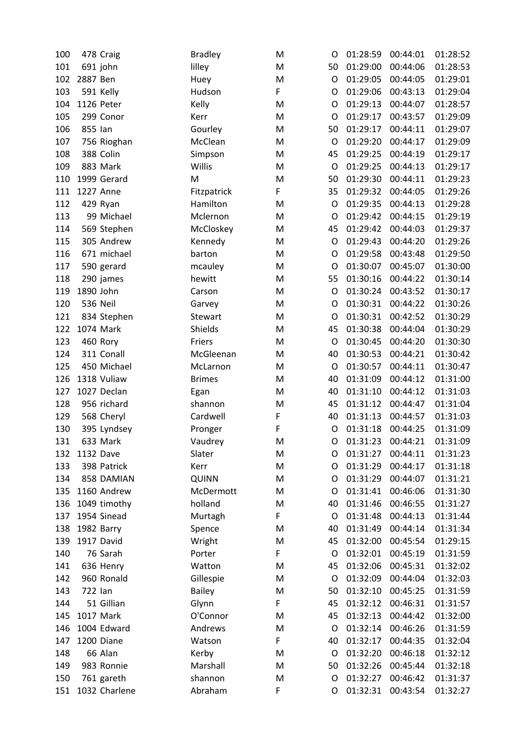| 100 | 478 Craig       | <b>Bradley</b> | M | O       | 01:28:59 | 00:44:01 | 01:28:52 |
|-----|-----------------|----------------|---|---------|----------|----------|----------|
| 101 | 691 john        | lilley         | M | 50      | 01:29:00 | 00:44:06 | 01:28:53 |
| 102 | 2887 Ben        | Huey           | M | $\circ$ | 01:29:05 | 00:44:05 | 01:29:01 |
| 103 | 591 Kelly       | Hudson         | F | O       | 01:29:06 | 00:43:13 | 01:29:04 |
| 104 | 1126 Peter      | Kelly          | M | O       | 01:29:13 | 00:44:07 | 01:28:57 |
| 105 | 299 Conor       | Kerr           | M | O       | 01:29:17 | 00:43:57 | 01:29:09 |
| 106 | 855 Ian         | Gourley        | M | 50      | 01:29:17 | 00:44:11 | 01:29:07 |
| 107 | 756 Rioghan     | McClean        | M | O       | 01:29:20 | 00:44:17 | 01:29:09 |
| 108 | 388 Colin       | Simpson        | M | 45      | 01:29:25 | 00:44:19 | 01:29:17 |
| 109 | 883 Mark        | Willis         | M | O       | 01:29:25 | 00:44:13 | 01:29:17 |
| 110 | 1999 Gerard     | M              | M | 50      | 01:29:30 | 00:44:11 | 01:29:23 |
| 111 | 1227 Anne       | Fitzpatrick    | F | 35      | 01:29:32 | 00:44:05 | 01:29:26 |
| 112 | 429 Ryan        | Hamilton       | M | O       | 01:29:35 | 00:44:13 | 01:29:28 |
| 113 | 99 Michael      | Mclernon       | M | O       | 01:29:42 | 00:44:15 | 01:29:19 |
| 114 | 569 Stephen     | McCloskey      | M | 45      | 01:29:42 | 00:44:03 | 01:29:37 |
| 115 | 305 Andrew      | Kennedy        | M | O       | 01:29:43 | 00:44:20 | 01:29:26 |
| 116 | 671 michael     | barton         | M | O       | 01:29:58 | 00:43:48 | 01:29:50 |
| 117 | 590 gerard      | mcauley        | M | O       | 01:30:07 | 00:45:07 | 01:30:00 |
| 118 | 290 james       | hewitt         | M | 55      | 01:30:16 | 00:44:22 | 01:30:14 |
| 119 | 1890 John       | Carson         | M | O       | 01:30:24 | 00:43:52 | 01:30:17 |
| 120 | <b>536 Neil</b> | Garvey         | M | O       | 01:30:31 | 00:44:22 | 01:30:26 |
| 121 | 834 Stephen     | Stewart        | M | O       | 01:30:31 | 00:42:52 | 01:30:29 |
| 122 | 1074 Mark       | Shields        | M | 45      | 01:30:38 | 00:44:04 | 01:30:29 |
| 123 | 460 Rory        | Friers         | M | O       | 01:30:45 | 00:44:20 | 01:30:30 |
| 124 | 311 Conall      | McGleenan      | M | 40      | 01:30:53 | 00:44:21 | 01:30:42 |
| 125 | 450 Michael     | McLarnon       | M | O       | 01:30:57 | 00:44:11 | 01:30:47 |
| 126 | 1318 Vuliaw     | <b>Brimes</b>  | M | 40      | 01:31:09 | 00:44:12 | 01:31:00 |
| 127 | 1027 Declan     | Egan           | M | 40      | 01:31:10 | 00:44:12 | 01:31:03 |
| 128 | 956 richard     | shannon        | M | 45      | 01:31:12 | 00:44:47 | 01:31:04 |
| 129 | 568 Cheryl      | Cardwell       | F | 40      | 01:31:13 | 00:44:57 | 01:31:03 |
| 130 | 395 Lyndsey     | Pronger        | F | O       | 01:31:18 | 00:44:25 | 01:31:09 |
| 131 | 633 Mark        | Vaudrey        | M | O       | 01:31:23 | 00:44:21 | 01:31:09 |
| 132 | 1132 Dave       | Slater         | M | O       | 01:31:27 | 00:44:11 | 01:31:23 |
| 133 | 398 Patrick     | Kerr           | M | O       | 01:31:29 | 00:44:17 | 01:31:18 |
| 134 | 858 DAMIAN      | <b>QUINN</b>   | M | O       | 01:31:29 | 00:44:07 | 01:31:21 |
| 135 | 1160 Andrew     | McDermott      | M | O       | 01:31:41 | 00:46:06 | 01:31:30 |
| 136 | 1049 timothy    | holland        | M | 40      | 01:31:46 | 00:46:55 | 01:31:27 |
| 137 | 1954 Sinead     | Murtagh        | F | O       | 01:31:48 | 00:44:13 | 01:31:44 |
| 138 | 1982 Barry      | Spence         | M | 40      | 01:31:49 | 00:44:14 | 01:31:34 |
| 139 | 1917 David      | Wright         | M | 45      | 01:32:00 | 00:45:54 | 01:29:15 |
| 140 | 76 Sarah        | Porter         | F | O       | 01:32:01 | 00:45:19 | 01:31:59 |
| 141 | 636 Henry       | Watton         | M | 45      | 01:32:06 | 00:45:31 | 01:32:02 |
| 142 | 960 Ronald      | Gillespie      | M | O       | 01:32:09 | 00:44:04 | 01:32:03 |
| 143 | 722 Ian         | <b>Bailey</b>  | M | 50      | 01:32:10 | 00:45:25 | 01:31:59 |
| 144 | 51 Gillian      | Glynn          | F | 45      | 01:32:12 | 00:46:31 | 01:31:57 |
| 145 | 1017 Mark       | O'Connor       | M | 45      | 01:32:13 | 00:44:42 | 01:32:00 |
| 146 | 1004 Edward     | Andrews        | M | O       | 01:32:14 | 00:46:26 | 01:31:59 |
| 147 | 1200 Diane      | Watson         | F | 40      | 01:32:17 | 00:44:35 | 01:32:04 |
| 148 | 66 Alan         | Kerby          | M | O       | 01:32:20 | 00:46:18 | 01:32:12 |
| 149 | 983 Ronnie      | Marshall       | M | 50      | 01:32:26 | 00:45:44 | 01:32:18 |
|     |                 |                |   |         | 01:32:27 | 00:46:42 |          |
| 150 | 761 gareth      | shannon        | M | O       |          |          | 01:31:37 |
| 151 | 1032 Charlene   | Abraham        | F | O       | 01:32:31 | 00:43:54 | 01:32:27 |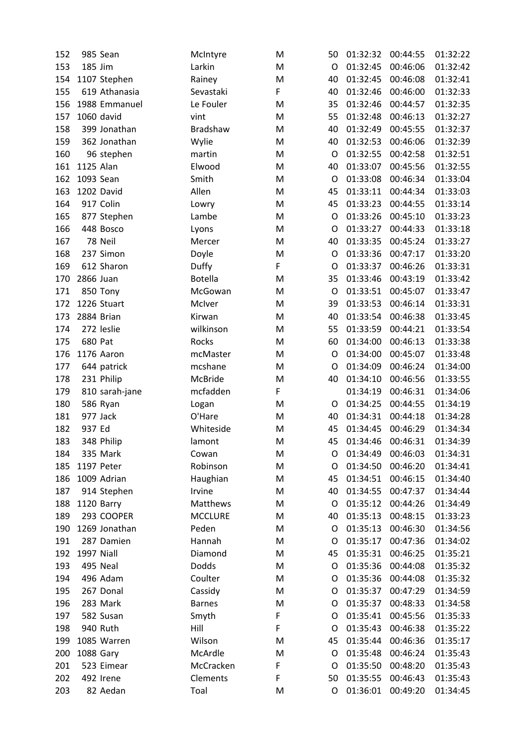| 152 | 985 Sean       | McIntyre        | M | 50      | 01:32:32 | 00:44:55 | 01:32:22 |
|-----|----------------|-----------------|---|---------|----------|----------|----------|
| 153 | 185 Jim        | Larkin          | M | O       | 01:32:45 | 00:46:06 | 01:32:42 |
| 154 | 1107 Stephen   | Rainey          | M | 40      | 01:32:45 | 00:46:08 | 01:32:41 |
| 155 | 619 Athanasia  | Sevastaki       | F | 40      | 01:32:46 | 00:46:00 | 01:32:33 |
| 156 | 1988 Emmanuel  | Le Fouler       | M | 35      | 01:32:46 | 00:44:57 | 01:32:35 |
| 157 | 1060 david     | vint            | M | 55      | 01:32:48 | 00:46:13 | 01:32:27 |
| 158 | 399 Jonathan   | <b>Bradshaw</b> | M | 40      | 01:32:49 | 00:45:55 | 01:32:37 |
| 159 | 362 Jonathan   | Wylie           | M | 40      | 01:32:53 | 00:46:06 | 01:32:39 |
| 160 | 96 stephen     | martin          | M | $\circ$ | 01:32:55 | 00:42:58 | 01:32:51 |
| 161 | 1125 Alan      | Elwood          | M | 40      | 01:33:07 | 00:45:56 | 01:32:55 |
| 162 | 1093 Sean      | Smith           | M | O       | 01:33:08 | 00:46:34 | 01:33:04 |
| 163 | 1202 David     | Allen           | M | 45      | 01:33:11 | 00:44:34 | 01:33:03 |
| 164 | 917 Colin      | Lowry           | M | 45      | 01:33:23 | 00:44:55 | 01:33:14 |
| 165 | 877 Stephen    | Lambe           | M | O       | 01:33:26 | 00:45:10 | 01:33:23 |
| 166 | 448 Bosco      | Lyons           | M | O       | 01:33:27 | 00:44:33 | 01:33:18 |
| 167 | 78 Neil        | Mercer          | M | 40      | 01:33:35 | 00:45:24 | 01:33:27 |
| 168 | 237 Simon      | Doyle           | M | O       | 01:33:36 | 00:47:17 | 01:33:20 |
| 169 | 612 Sharon     | Duffy           | F | O       | 01:33:37 | 00:46:26 | 01:33:31 |
| 170 | 2866 Juan      | <b>Botella</b>  | M | 35      | 01:33:46 | 00:43:19 | 01:33:42 |
| 171 | 850 Tony       | McGowan         | M | O       | 01:33:51 | 00:45:07 | 01:33:47 |
| 172 | 1226 Stuart    | McIver          | M | 39      | 01:33:53 | 00:46:14 | 01:33:31 |
| 173 | 2884 Brian     | Kirwan          | M | 40      | 01:33:54 | 00:46:38 | 01:33:45 |
| 174 | 272 leslie     | wilkinson       | M | 55      | 01:33:59 | 00:44:21 | 01:33:54 |
| 175 | 680 Pat        | Rocks           | M | 60      | 01:34:00 | 00:46:13 | 01:33:38 |
| 176 | 1176 Aaron     | mcMaster        | M | O       | 01:34:00 | 00:45:07 | 01:33:48 |
| 177 | 644 patrick    | mcshane         | M | O       | 01:34:09 | 00:46:24 | 01:34:00 |
| 178 | 231 Philip     | McBride         | M | 40      | 01:34:10 | 00:46:56 | 01:33:55 |
| 179 | 810 sarah-jane | mcfadden        | F |         | 01:34:19 | 00:46:31 | 01:34:06 |
| 180 | 586 Ryan       | Logan           | M | O       | 01:34:25 | 00:44:55 | 01:34:19 |
| 181 | 977 Jack       | O'Hare          | M | 40      | 01:34:31 | 00:44:18 | 01:34:28 |
| 182 | 937 Ed         | Whiteside       | M | 45      | 01:34:45 | 00:46:29 | 01:34:34 |
| 183 | 348 Philip     | lamont          | M | 45      | 01:34:46 | 00:46:31 | 01:34:39 |
| 184 | 335 Mark       | Cowan           | M | O       | 01:34:49 | 00:46:03 | 01:34:31 |
| 185 | 1197 Peter     | Robinson        | M | O       | 01:34:50 | 00:46:20 | 01:34:41 |
| 186 | 1009 Adrian    | Haughian        | M | 45      | 01:34:51 | 00:46:15 | 01:34:40 |
| 187 | 914 Stephen    | Irvine          | M | 40      | 01:34:55 | 00:47:37 | 01:34:44 |
| 188 | 1120 Barry     | Matthews        | M | O       | 01:35:12 | 00:44:26 | 01:34:49 |
| 189 | 293 COOPER     | <b>MCCLURE</b>  | M | 40      | 01:35:13 | 00:48:15 | 01:33:23 |
| 190 | 1269 Jonathan  | Peden           | M | O       | 01:35:13 | 00:46:30 | 01:34:56 |
| 191 | 287 Damien     | Hannah          | M | O       | 01:35:17 | 00:47:36 | 01:34:02 |
| 192 | 1997 Niall     | Diamond         | M | 45      | 01:35:31 | 00:46:25 | 01:35:21 |
| 193 | 495 Neal       | Dodds           | M | O       | 01:35:36 | 00:44:08 | 01:35:32 |
| 194 | 496 Adam       | Coulter         | M | O       | 01:35:36 | 00:44:08 | 01:35:32 |
| 195 | 267 Donal      | Cassidy         | M | O       | 01:35:37 | 00:47:29 | 01:34:59 |
| 196 | 283 Mark       | <b>Barnes</b>   | M | O       | 01:35:37 | 00:48:33 | 01:34:58 |
| 197 | 582 Susan      | Smyth           | F | O       | 01:35:41 | 00:45:56 | 01:35:33 |
| 198 | 940 Ruth       | Hill            | F | O       | 01:35:43 | 00:46:38 | 01:35:22 |
| 199 | 1085 Warren    | Wilson          | M | 45      | 01:35:44 | 00:46:36 | 01:35:17 |
| 200 | 1088 Gary      | McArdle         | M | O       | 01:35:48 | 00:46:24 | 01:35:43 |
| 201 | 523 Eimear     | McCracken       | F | O       | 01:35:50 | 00:48:20 | 01:35:43 |
| 202 | 492 Irene      | Clements        | F | 50      | 01:35:55 | 00:46:43 | 01:35:43 |
| 203 | 82 Aedan       | Toal            | M | O       | 01:36:01 | 00:49:20 | 01:34:45 |
|     |                |                 |   |         |          |          |          |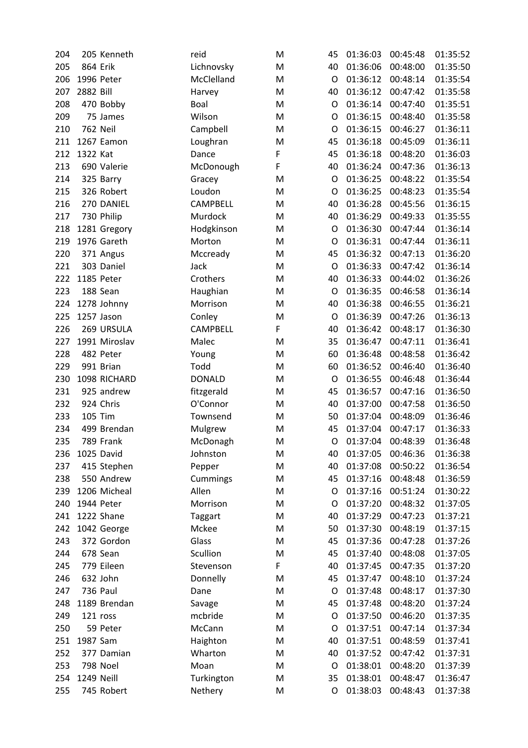| 204 |                | 205 Kenneth     | reid            | M | 45      | 01:36:03 | 00:45:48 | 01:35:52 |
|-----|----------------|-----------------|-----------------|---|---------|----------|----------|----------|
| 205 | 864 Erik       |                 | Lichnovsky      | M | 40      | 01:36:06 | 00:48:00 | 01:35:50 |
| 206 |                | 1996 Peter      | McClelland      | M | $\circ$ | 01:36:12 | 00:48:14 | 01:35:54 |
| 207 | 2882 Bill      |                 | Harvey          | M | 40      | 01:36:12 | 00:47:42 | 01:35:58 |
| 208 |                | 470 Bobby       | Boal            | M | O       | 01:36:14 | 00:47:40 | 01:35:51 |
| 209 |                | 75 James        | Wilson          | M | O       | 01:36:15 | 00:48:40 | 01:35:58 |
| 210 |                | <b>762 Neil</b> | Campbell        | M | O       | 01:36:15 | 00:46:27 | 01:36:11 |
| 211 |                | 1267 Eamon      | Loughran        | M | 45      | 01:36:18 | 00:45:09 | 01:36:11 |
| 212 | 1322 Kat       |                 | Dance           | F | 45      | 01:36:18 | 00:48:20 | 01:36:03 |
| 213 |                | 690 Valerie     | McDonough       | F | 40      | 01:36:24 | 00:47:36 | 01:36:13 |
| 214 |                | 325 Barry       | Gracey          | M | O       | 01:36:25 | 00:48:22 | 01:35:54 |
| 215 |                | 326 Robert      | Loudon          | M | O       | 01:36:25 | 00:48:23 | 01:35:54 |
| 216 |                | 270 DANIEL      | <b>CAMPBELL</b> | M | 40      | 01:36:28 | 00:45:56 | 01:36:15 |
| 217 |                | 730 Philip      | Murdock         | M | 40      | 01:36:29 | 00:49:33 | 01:35:55 |
| 218 |                | 1281 Gregory    | Hodgkinson      | M | O       | 01:36:30 | 00:47:44 | 01:36:14 |
| 219 |                | 1976 Gareth     | Morton          | M | O       | 01:36:31 | 00:47:44 | 01:36:11 |
| 220 |                | 371 Angus       | Mccready        | M | 45      | 01:36:32 | 00:47:13 | 01:36:20 |
| 221 |                | 303 Daniel      | Jack            | M | O       | 01:36:33 | 00:47:42 | 01:36:14 |
| 222 |                | 1185 Peter      | Crothers        | M | 40      | 01:36:33 | 00:44:02 | 01:36:26 |
| 223 |                | 188 Sean        | Haughian        | M | O       | 01:36:35 | 00:46:58 | 01:36:14 |
| 224 |                | 1278 Johnny     | Morrison        | M | 40      | 01:36:38 | 00:46:55 | 01:36:21 |
| 225 |                | 1257 Jason      | Conley          | M | O       | 01:36:39 | 00:47:26 | 01:36:13 |
| 226 |                | 269 URSULA      | <b>CAMPBELL</b> | F | 40      | 01:36:42 | 00:48:17 | 01:36:30 |
| 227 |                | 1991 Miroslav   | Malec           | M | 35      | 01:36:47 | 00:47:11 | 01:36:41 |
| 228 |                | 482 Peter       | Young           | M | 60      | 01:36:48 | 00:48:58 | 01:36:42 |
| 229 |                | 991 Brian       | Todd            | M | 60      | 01:36:52 | 00:46:40 | 01:36:40 |
| 230 |                | 1098 RICHARD    | <b>DONALD</b>   | M | O       | 01:36:55 | 00:46:48 | 01:36:44 |
| 231 |                | 925 andrew      | fitzgerald      | M | 45      | 01:36:57 | 00:47:16 | 01:36:50 |
| 232 |                | 924 Chris       | O'Connor        | M | 40      | 01:37:00 | 00:47:58 | 01:36:50 |
| 233 | <b>105 Tim</b> |                 | Townsend        | M | 50      | 01:37:04 | 00:48:09 | 01:36:46 |
| 234 |                | 499 Brendan     | Mulgrew         | M | 45      | 01:37:04 | 00:47:17 | 01:36:33 |
| 235 |                | 789 Frank       | McDonagh        | M | O       | 01:37:04 | 00:48:39 | 01:36:48 |
| 236 |                | 1025 David      | Johnston        | M | 40      | 01:37:05 | 00:46:36 | 01:36:38 |
| 237 |                | 415 Stephen     | Pepper          | M | 40      | 01:37:08 | 00:50:22 | 01:36:54 |
| 238 |                | 550 Andrew      | Cummings        | M | 45      | 01:37:16 | 00:48:48 | 01:36:59 |
| 239 |                | 1206 Micheal    | Allen           | M | O       | 01:37:16 | 00:51:24 | 01:30:22 |
| 240 |                | 1944 Peter      | Morrison        | M | O       | 01:37:20 | 00:48:32 | 01:37:05 |
| 241 |                | 1222 Shane      | <b>Taggart</b>  | M | 40      | 01:37:29 | 00:47:23 | 01:37:21 |
| 242 |                | 1042 George     | Mckee           | M | 50      | 01:37:30 | 00:48:19 | 01:37:15 |
| 243 |                | 372 Gordon      | Glass           | M | 45      | 01:37:36 | 00:47:28 | 01:37:26 |
| 244 |                | 678 Sean        | Scullion        | M | 45      | 01:37:40 | 00:48:08 | 01:37:05 |
| 245 |                | 779 Eileen      | Stevenson       | F | 40      | 01:37:45 | 00:47:35 | 01:37:20 |
| 246 |                | 632 John        | Donnelly        | M | 45      | 01:37:47 | 00:48:10 | 01:37:24 |
| 247 |                | 736 Paul        | Dane            | M | O       | 01:37:48 | 00:48:17 | 01:37:30 |
| 248 |                | 1189 Brendan    | Savage          | M | 45      | 01:37:48 | 00:48:20 | 01:37:24 |
| 249 |                | 121 ross        | mcbride         | M | O       | 01:37:50 | 00:46:20 | 01:37:35 |
| 250 |                | 59 Peter        | McCann          | M | O       | 01:37:51 | 00:47:14 | 01:37:34 |
| 251 | 1987 Sam       |                 | Haighton        | M | 40      | 01:37:51 | 00:48:59 | 01:37:41 |
| 252 |                | 377 Damian      | Wharton         | M | 40      | 01:37:52 | 00:47:42 | 01:37:31 |
| 253 |                | 798 Noel        | Moan            | M | O       | 01:38:01 | 00:48:20 | 01:37:39 |
| 254 | 1249 Neill     |                 | Turkington      | M | 35      | 01:38:01 | 00:48:47 | 01:36:47 |
| 255 |                | 745 Robert      | Nethery         | М | O       | 01:38:03 | 00:48:43 | 01:37:38 |
|     |                |                 |                 |   |         |          |          |          |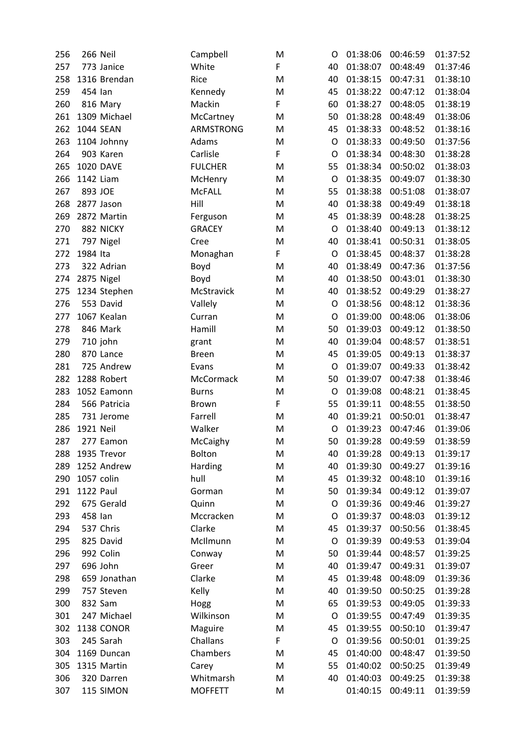| 256 | 266 Neil         | Campbell       | M | O  | 01:38:06 | 00:46:59 | 01:37:52 |
|-----|------------------|----------------|---|----|----------|----------|----------|
| 257 | 773 Janice       | White          | F | 40 | 01:38:07 | 00:48:49 | 01:37:46 |
| 258 | 1316 Brendan     | Rice           | M | 40 | 01:38:15 | 00:47:31 | 01:38:10 |
| 259 | 454 lan          | Kennedy        | M | 45 | 01:38:22 | 00:47:12 | 01:38:04 |
| 260 | 816 Mary         | Mackin         | F | 60 | 01:38:27 | 00:48:05 | 01:38:19 |
| 261 | 1309 Michael     | McCartney      | M | 50 | 01:38:28 | 00:48:49 | 01:38:06 |
| 262 | <b>1044 SEAN</b> | ARMSTRONG      | M | 45 | 01:38:33 | 00:48:52 | 01:38:16 |
| 263 | 1104 Johnny      | Adams          | M | O  | 01:38:33 | 00:49:50 | 01:37:56 |
| 264 | 903 Karen        | Carlisle       | F | O  | 01:38:34 | 00:48:30 | 01:38:28 |
| 265 | <b>1020 DAVE</b> | <b>FULCHER</b> | M | 55 | 01:38:34 | 00:50:02 | 01:38:03 |
| 266 | 1142 Liam        | McHenry        | M | O  | 01:38:35 | 00:49:07 | 01:38:30 |
| 267 | 893 JOE          | <b>McFALL</b>  | M | 55 | 01:38:38 | 00:51:08 | 01:38:07 |
| 268 | 2877 Jason       | Hill           | M | 40 | 01:38:38 | 00:49:49 | 01:38:18 |
| 269 | 2872 Martin      | Ferguson       | M | 45 | 01:38:39 | 00:48:28 | 01:38:25 |
| 270 | 882 NICKY        | <b>GRACEY</b>  | M | O  | 01:38:40 | 00:49:13 | 01:38:12 |
| 271 | 797 Nigel        | Cree           | M | 40 | 01:38:41 | 00:50:31 | 01:38:05 |
| 272 | 1984 Ita         | Monaghan       | F | O  | 01:38:45 | 00:48:37 | 01:38:28 |
| 273 | 322 Adrian       | Boyd           | M | 40 | 01:38:49 | 00:47:36 | 01:37:56 |
| 274 | 2875 Nigel       | Boyd           | M | 40 | 01:38:50 | 00:43:01 | 01:38:30 |
| 275 | 1234 Stephen     | McStravick     | M | 40 | 01:38:52 | 00:49:29 | 01:38:27 |
| 276 | 553 David        | Vallely        | M | O  | 01:38:56 | 00:48:12 | 01:38:36 |
| 277 | 1067 Kealan      | Curran         | M | O  | 01:39:00 | 00:48:06 | 01:38:06 |
| 278 | 846 Mark         | Hamill         | M | 50 | 01:39:03 | 00:49:12 | 01:38:50 |
| 279 | 710 john         | grant          | M | 40 | 01:39:04 | 00:48:57 | 01:38:51 |
| 280 | 870 Lance        | <b>Breen</b>   | M | 45 | 01:39:05 | 00:49:13 | 01:38:37 |
| 281 | 725 Andrew       | Evans          | M | O  | 01:39:07 | 00:49:33 | 01:38:42 |
| 282 | 1288 Robert      | McCormack      | M | 50 | 01:39:07 | 00:47:38 | 01:38:46 |
| 283 | 1052 Eamonn      | <b>Burns</b>   | M | O  | 01:39:08 | 00:48:21 | 01:38:45 |
| 284 | 566 Patricia     | <b>Brown</b>   | F | 55 | 01:39:11 | 00:48:55 | 01:38:50 |
| 285 | 731 Jerome       | Farrell        | M | 40 | 01:39:21 | 00:50:01 | 01:38:47 |
| 286 | 1921 Neil        | Walker         | M | O  | 01:39:23 | 00:47:46 | 01:39:06 |
| 287 | 277 Eamon        | McCaighy       | M | 50 | 01:39:28 | 00:49:59 | 01:38:59 |
| 288 | 1935 Trevor      | Bolton         | M | 40 | 01:39:28 | 00:49:13 | 01:39:17 |
| 289 | 1252 Andrew      | Harding        | M | 40 | 01:39:30 | 00:49:27 | 01:39:16 |
| 290 | 1057 colin       | hull           | M | 45 | 01:39:32 | 00:48:10 | 01:39:16 |
| 291 | <b>1122 Paul</b> | Gorman         | M | 50 | 01:39:34 | 00:49:12 | 01:39:07 |
| 292 | 675 Gerald       | Quinn          | M | O  | 01:39:36 | 00:49:46 | 01:39:27 |
| 293 | 458 lan          | Mccracken      | M | O  | 01:39:37 | 00:48:03 | 01:39:12 |
| 294 | 537 Chris        | Clarke         | M | 45 | 01:39:37 | 00:50:56 | 01:38:45 |
| 295 | 825 David        | McIlmunn       | M | O  | 01:39:39 | 00:49:53 | 01:39:04 |
| 296 | 992 Colin        | Conway         | M | 50 | 01:39:44 | 00:48:57 | 01:39:25 |
| 297 | 696 John         | Greer          | M | 40 | 01:39:47 | 00:49:31 | 01:39:07 |
| 298 | 659 Jonathan     | Clarke         | M | 45 | 01:39:48 | 00:48:09 | 01:39:36 |
| 299 | 757 Steven       | Kelly          | M | 40 | 01:39:50 | 00:50:25 | 01:39:28 |
| 300 | 832 Sam          | Hogg           | M | 65 | 01:39:53 | 00:49:05 | 01:39:33 |
| 301 | 247 Michael      | Wilkinson      | M | O  | 01:39:55 | 00:47:49 | 01:39:35 |
| 302 | 1138 CONOR       | Maguire        | M | 45 | 01:39:55 | 00:50:10 | 01:39:47 |
| 303 | 245 Sarah        | Challans       | F | O  | 01:39:56 | 00:50:01 | 01:39:25 |
| 304 | 1169 Duncan      | Chambers       | M | 45 | 01:40:00 | 00:48:47 | 01:39:50 |
| 305 | 1315 Martin      | Carey          | M | 55 | 01:40:02 | 00:50:25 | 01:39:49 |
| 306 | 320 Darren       | Whitmarsh      | M | 40 | 01:40:03 | 00:49:25 | 01:39:38 |
| 307 | 115 SIMON        | <b>MOFFETT</b> | M |    | 01:40:15 | 00:49:11 | 01:39:59 |
|     |                  |                |   |    |          |          |          |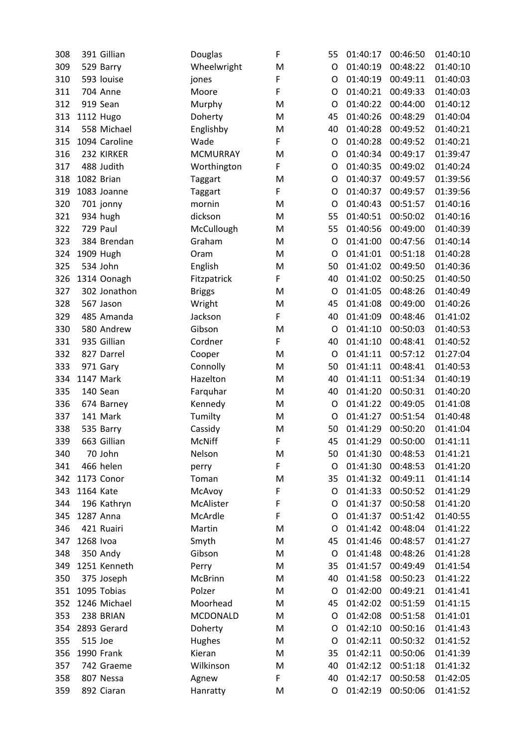| 308 | 391 Gillian     | Douglas         | F | 55 | 01:40:17 | 00:46:50 | 01:40:10 |
|-----|-----------------|-----------------|---|----|----------|----------|----------|
| 309 | 529 Barry       | Wheelwright     | M | O  | 01:40:19 | 00:48:22 | 01:40:10 |
| 310 | 593 louise      | jones           | F | O  | 01:40:19 | 00:49:11 | 01:40:03 |
| 311 | <b>704 Anne</b> | Moore           | F | O  | 01:40:21 | 00:49:33 | 01:40:03 |
| 312 | 919 Sean        | Murphy          | M | O  | 01:40:22 | 00:44:00 | 01:40:12 |
| 313 | 1112 Hugo       | Doherty         | M | 45 | 01:40:26 | 00:48:29 | 01:40:04 |
| 314 | 558 Michael     | Englishby       | M | 40 | 01:40:28 | 00:49:52 | 01:40:21 |
| 315 | 1094 Caroline   | Wade            | F | O  | 01:40:28 | 00:49:52 | 01:40:21 |
| 316 | 232 KIRKER      | <b>MCMURRAY</b> | M | O  | 01:40:34 | 00:49:17 | 01:39:47 |
| 317 | 488 Judith      | Worthington     | F | O  | 01:40:35 | 00:49:02 | 01:40:24 |
| 318 | 1082 Brian      | Taggart         | M | O  | 01:40:37 | 00:49:57 | 01:39:56 |
| 319 | 1083 Joanne     | <b>Taggart</b>  | F | O  | 01:40:37 | 00:49:57 | 01:39:56 |
| 320 | 701 jonny       | mornin          | M | O  | 01:40:43 | 00:51:57 | 01:40:16 |
| 321 | 934 hugh        | dickson         | M | 55 | 01:40:51 | 00:50:02 | 01:40:16 |
| 322 | 729 Paul        | McCullough      | M | 55 | 01:40:56 | 00:49:00 | 01:40:39 |
| 323 | 384 Brendan     | Graham          | M | O  | 01:41:00 | 00:47:56 | 01:40:14 |
| 324 | 1909 Hugh       | Oram            | M | O  | 01:41:01 | 00:51:18 | 01:40:28 |
| 325 | 534 John        | English         | M | 50 | 01:41:02 | 00:49:50 | 01:40:36 |
| 326 | 1314 Oonagh     | Fitzpatrick     | F | 40 | 01:41:02 | 00:50:25 | 01:40:50 |
| 327 | 302 Jonathon    | <b>Briggs</b>   | M | O  | 01:41:05 | 00:48:26 | 01:40:49 |
| 328 | 567 Jason       | Wright          | M | 45 | 01:41:08 | 00:49:00 | 01:40:26 |
| 329 | 485 Amanda      | Jackson         | F | 40 | 01:41:09 | 00:48:46 | 01:41:02 |
| 330 | 580 Andrew      | Gibson          | M | O  | 01:41:10 | 00:50:03 | 01:40:53 |
| 331 | 935 Gillian     | Cordner         | F | 40 | 01:41:10 | 00:48:41 | 01:40:52 |
| 332 | 827 Darrel      | Cooper          | M | O  | 01:41:11 | 00:57:12 | 01:27:04 |
| 333 | 971 Gary        | Connolly        | M | 50 | 01:41:11 | 00:48:41 | 01:40:53 |
| 334 | 1147 Mark       | Hazelton        | M | 40 | 01:41:11 | 00:51:34 | 01:40:19 |
| 335 | 140 Sean        | Farquhar        | M | 40 | 01:41:20 | 00:50:31 | 01:40:20 |
| 336 | 674 Barney      | Kennedy         | M | O  | 01:41:22 | 00:49:05 | 01:41:08 |
| 337 | 141 Mark        | Tumilty         | M | O  | 01:41:27 | 00:51:54 | 01:40:48 |
| 338 | 535 Barry       | Cassidy         | M | 50 | 01:41:29 | 00:50:20 | 01:41:04 |
| 339 | 663 Gillian     | <b>McNiff</b>   | F | 45 | 01:41:29 | 00:50:00 | 01:41:11 |
| 340 | 70 John         | Nelson          | M | 50 | 01:41:30 | 00:48:53 | 01:41:21 |
| 341 | 466 helen       | perry           | F | O  | 01:41:30 | 00:48:53 | 01:41:20 |
| 342 | 1173 Conor      | Toman           | M | 35 | 01:41:32 | 00:49:11 | 01:41:14 |
| 343 | 1164 Kate       | McAvoy          | F | O  | 01:41:33 | 00:50:52 | 01:41:29 |
| 344 | 196 Kathryn     | McAlister       | F | O  | 01:41:37 | 00:50:58 | 01:41:20 |
| 345 | 1287 Anna       | McArdle         | F | O  | 01:41:37 | 00:51:42 | 01:40:55 |
| 346 | 421 Ruairi      | Martin          | M | O  | 01:41:42 | 00:48:04 | 01:41:22 |
| 347 | 1268 Ivoa       | Smyth           | M | 45 | 01:41:46 | 00:48:57 | 01:41:27 |
| 348 | 350 Andy        | Gibson          | M | O  | 01:41:48 | 00:48:26 | 01:41:28 |
| 349 | 1251 Kenneth    | Perry           | M | 35 | 01:41:57 | 00:49:49 | 01:41:54 |
| 350 | 375 Joseph      | McBrinn         | M | 40 | 01:41:58 | 00:50:23 | 01:41:22 |
| 351 | 1095 Tobias     | Polzer          | M | O  | 01:42:00 | 00:49:21 | 01:41:41 |
| 352 | 1246 Michael    | Moorhead        | M | 45 | 01:42:02 | 00:51:59 | 01:41:15 |
| 353 | 238 BRIAN       | <b>MCDONALD</b> | M | O  | 01:42:08 | 00:51:58 | 01:41:01 |
| 354 | 2893 Gerard     | Doherty         | M | O  | 01:42:10 | 00:50:16 | 01:41:43 |
| 355 | 515 Joe         | Hughes          | M | O  | 01:42:11 | 00:50:32 | 01:41:52 |
| 356 | 1990 Frank      | Kieran          | M | 35 | 01:42:11 | 00:50:06 | 01:41:39 |
| 357 | 742 Graeme      | Wilkinson       | M | 40 | 01:42:12 | 00:51:18 | 01:41:32 |
| 358 | 807 Nessa       | Agnew           | F | 40 | 01:42:17 | 00:50:58 | 01:42:05 |
| 359 | 892 Ciaran      | Hanratty        | M | O  | 01:42:19 | 00:50:06 | 01:41:52 |
|     |                 |                 |   |    |          |          |          |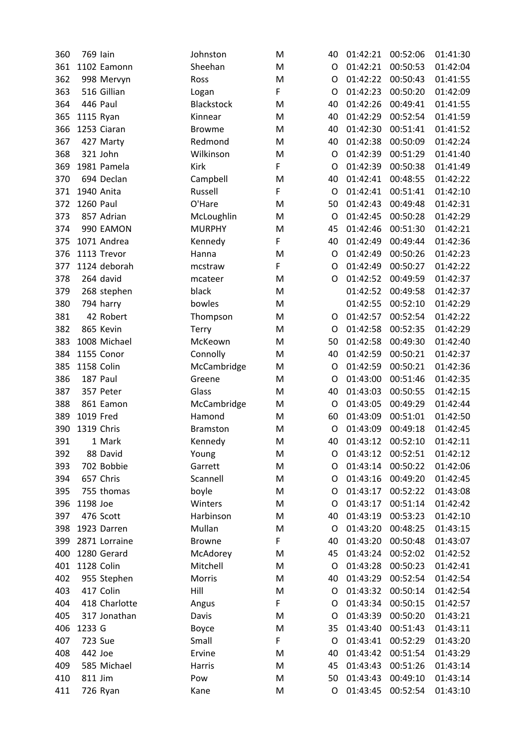| 360 | 769 lain         | Johnston          | M | 40 | 01:42:21 | 00:52:06 | 01:41:30 |
|-----|------------------|-------------------|---|----|----------|----------|----------|
| 361 | 1102 Eamonn      | Sheehan           | M | O  | 01:42:21 | 00:50:53 | 01:42:04 |
| 362 | 998 Mervyn       | Ross              | M | O  | 01:42:22 | 00:50:43 | 01:41:55 |
| 363 | 516 Gillian      | Logan             | F | O  | 01:42:23 | 00:50:20 | 01:42:09 |
| 364 | 446 Paul         | <b>Blackstock</b> | M | 40 | 01:42:26 | 00:49:41 | 01:41:55 |
| 365 | 1115 Ryan        | Kinnear           | M | 40 | 01:42:29 | 00:52:54 | 01:41:59 |
| 366 | 1253 Ciaran      | <b>Browme</b>     | M | 40 | 01:42:30 | 00:51:41 | 01:41:52 |
| 367 | 427 Marty        | Redmond           | M | 40 | 01:42:38 | 00:50:09 | 01:42:24 |
| 368 | 321 John         | Wilkinson         | M | O  | 01:42:39 | 00:51:29 | 01:41:40 |
| 369 | 1981 Pamela      | <b>Kirk</b>       | F | O  | 01:42:39 | 00:50:38 | 01:41:49 |
| 370 | 694 Declan       | Campbell          | M | 40 | 01:42:41 | 00:48:55 | 01:42:22 |
| 371 | 1940 Anita       | Russell           | F | O  | 01:42:41 | 00:51:41 | 01:42:10 |
| 372 | <b>1260 Paul</b> | O'Hare            | M | 50 | 01:42:43 | 00:49:48 | 01:42:31 |
| 373 | 857 Adrian       | McLoughlin        | M | O  | 01:42:45 | 00:50:28 | 01:42:29 |
| 374 | 990 EAMON        | <b>MURPHY</b>     | M | 45 | 01:42:46 | 00:51:30 | 01:42:21 |
| 375 | 1071 Andrea      | Kennedy           | F | 40 | 01:42:49 | 00:49:44 | 01:42:36 |
| 376 | 1113 Trevor      | Hanna             | M | O  | 01:42:49 | 00:50:26 | 01:42:23 |
| 377 | 1124 deborah     | mcstraw           | F | O  | 01:42:49 | 00:50:27 | 01:42:22 |
| 378 | 264 david        | mcateer           | M | O  | 01:42:52 | 00:49:59 | 01:42:37 |
| 379 | 268 stephen      | black             | M |    | 01:42:52 | 00:49:58 | 01:42:37 |
| 380 | 794 harry        | bowles            | M |    | 01:42:55 | 00:52:10 | 01:42:29 |
| 381 | 42 Robert        | Thompson          | M | O  | 01:42:57 | 00:52:54 | 01:42:22 |
| 382 | 865 Kevin        | Terry             | M | O  | 01:42:58 | 00:52:35 | 01:42:29 |
| 383 | 1008 Michael     | McKeown           | M | 50 | 01:42:58 | 00:49:30 | 01:42:40 |
| 384 | 1155 Conor       | Connolly          | M | 40 | 01:42:59 | 00:50:21 | 01:42:37 |
| 385 | 1158 Colin       | McCambridge       | M | O  | 01:42:59 | 00:50:21 | 01:42:36 |
| 386 | 187 Paul         | Greene            | M | O  | 01:43:00 | 00:51:46 | 01:42:35 |
| 387 | 357 Peter        | Glass             | M | 40 | 01:43:03 | 00:50:55 | 01:42:15 |
| 388 | 861 Eamon        | McCambridge       | M | O  | 01:43:05 | 00:49:29 | 01:42:44 |
| 389 | 1019 Fred        | Hamond            | M | 60 | 01:43:09 | 00:51:01 | 01:42:50 |
| 390 | 1319 Chris       | <b>Bramston</b>   | M | O  | 01:43:09 | 00:49:18 | 01:42:45 |
| 391 | 1 Mark           | Kennedy           | M | 40 | 01:43:12 | 00:52:10 | 01:42:11 |
| 392 | 88 David         | Young             | M | O  | 01:43:12 | 00:52:51 | 01:42:12 |
| 393 | 702 Bobbie       | Garrett           | M | O  | 01:43:14 | 00:50:22 | 01:42:06 |
| 394 | 657 Chris        | Scannell          | M | O  | 01:43:16 | 00:49:20 | 01:42:45 |
| 395 | 755 thomas       | boyle             | M | O  | 01:43:17 | 00:52:22 | 01:43:08 |
| 396 | 1198 Joe         | Winters           | M | O  | 01:43:17 | 00:51:14 | 01:42:42 |
| 397 | 476 Scott        | Harbinson         | M | 40 | 01:43:19 | 00:53:23 | 01:42:10 |
| 398 | 1923 Darren      | Mullan            | M | O  | 01:43:20 | 00:48:25 | 01:43:15 |
| 399 | 2871 Lorraine    | <b>Browne</b>     | F | 40 | 01:43:20 | 00:50:48 | 01:43:07 |
| 400 | 1280 Gerard      | McAdorey          | M | 45 | 01:43:24 | 00:52:02 | 01:42:52 |
| 401 | 1128 Colin       | Mitchell          | M | O  | 01:43:28 | 00:50:23 | 01:42:41 |
| 402 | 955 Stephen      | Morris            | M | 40 | 01:43:29 | 00:52:54 | 01:42:54 |
| 403 | 417 Colin        | Hill              | M | O  | 01:43:32 | 00:50:14 | 01:42:54 |
| 404 | 418 Charlotte    | Angus             | F | O  | 01:43:34 | 00:50:15 | 01:42:57 |
| 405 | 317 Jonathan     | Davis             | M | O  | 01:43:39 | 00:50:20 | 01:43:21 |
| 406 | 1233 G           | Boyce             | M | 35 | 01:43:40 | 00:51:43 | 01:43:11 |
| 407 | 723 Sue          | Small             | F | O  | 01:43:41 | 00:52:29 | 01:43:20 |
| 408 | 442 Joe          | Ervine            | M | 40 | 01:43:42 | 00:51:54 | 01:43:29 |
| 409 | 585 Michael      | Harris            | M | 45 | 01:43:43 | 00:51:26 | 01:43:14 |
| 410 | 811 Jim          | Pow               | M | 50 | 01:43:43 | 00:49:10 | 01:43:14 |
| 411 | 726 Ryan         | Kane              | M | O  | 01:43:45 | 00:52:54 | 01:43:10 |
|     |                  |                   |   |    |          |          |          |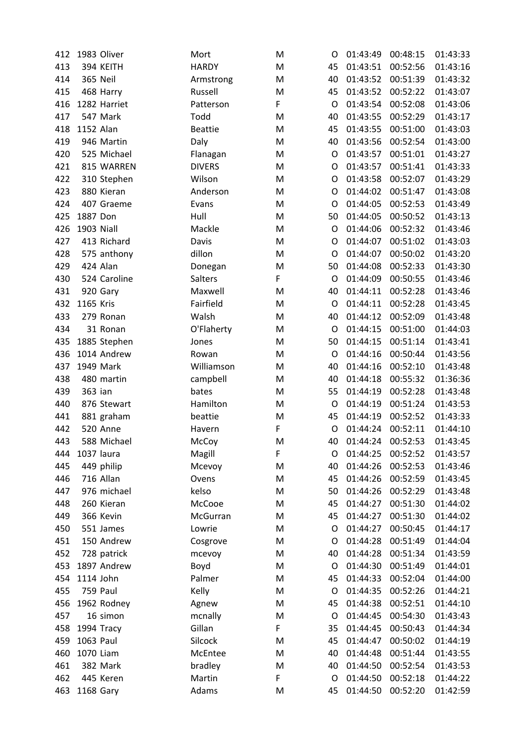| 412 | 1983 Oliver       | Mort           | M | O  | 01:43:49 | 00:48:15 | 01:43:33 |
|-----|-------------------|----------------|---|----|----------|----------|----------|
| 413 | 394 KEITH         | <b>HARDY</b>   | M | 45 | 01:43:51 | 00:52:56 | 01:43:16 |
| 414 | 365 Neil          | Armstrong      | M | 40 | 01:43:52 | 00:51:39 | 01:43:32 |
| 415 | 468 Harry         | Russell        | M | 45 | 01:43:52 | 00:52:22 | 01:43:07 |
| 416 | 1282 Harriet      | Patterson      | F | O  | 01:43:54 | 00:52:08 | 01:43:06 |
| 417 | 547 Mark          | Todd           | M | 40 | 01:43:55 | 00:52:29 | 01:43:17 |
| 418 | 1152 Alan         | <b>Beattie</b> | M | 45 | 01:43:55 | 00:51:00 | 01:43:03 |
| 419 | 946 Martin        | Daly           | M | 40 | 01:43:56 | 00:52:54 | 01:43:00 |
| 420 | 525 Michael       | Flanagan       | M | O  | 01:43:57 | 00:51:01 | 01:43:27 |
| 421 | 815 WARREN        | <b>DIVERS</b>  | M | O  | 01:43:57 | 00:51:41 | 01:43:33 |
| 422 | 310 Stephen       | Wilson         | M | O  | 01:43:58 | 00:52:07 | 01:43:29 |
| 423 | 880 Kieran        | Anderson       | M | O  | 01:44:02 | 00:51:47 | 01:43:08 |
| 424 | 407 Graeme        | Evans          | M | O  | 01:44:05 | 00:52:53 | 01:43:49 |
| 425 | 1887 Don          | Hull           | M | 50 | 01:44:05 | 00:50:52 | 01:43:13 |
| 426 | <b>1903 Niall</b> | Mackle         | M | O  | 01:44:06 | 00:52:32 | 01:43:46 |
| 427 | 413 Richard       | Davis          | M | O  | 01:44:07 | 00:51:02 | 01:43:03 |
| 428 | 575 anthony       | dillon         | M | O  | 01:44:07 | 00:50:02 | 01:43:20 |
| 429 | 424 Alan          | Donegan        | M | 50 | 01:44:08 | 00:52:33 | 01:43:30 |
| 430 | 524 Caroline      | <b>Salters</b> | F | O  | 01:44:09 | 00:50:55 | 01:43:46 |
| 431 | 920 Gary          | Maxwell        | M | 40 | 01:44:11 | 00:52:28 | 01:43:46 |
| 432 | 1165 Kris         | Fairfield      | M | O  | 01:44:11 | 00:52:28 | 01:43:45 |
| 433 | 279 Ronan         | Walsh          | M | 40 | 01:44:12 | 00:52:09 | 01:43:48 |
| 434 | 31 Ronan          | O'Flaherty     | M | O  | 01:44:15 | 00:51:00 | 01:44:03 |
| 435 | 1885 Stephen      | Jones          | M | 50 | 01:44:15 | 00:51:14 | 01:43:41 |
| 436 | 1014 Andrew       | Rowan          | M | O  | 01:44:16 | 00:50:44 | 01:43:56 |
| 437 | 1949 Mark         | Williamson     | M | 40 | 01:44:16 | 00:52:10 | 01:43:48 |
| 438 | 480 martin        | campbell       | M | 40 | 01:44:18 | 00:55:32 | 01:36:36 |
| 439 | 363 ian           | bates          | M | 55 | 01:44:19 | 00:52:28 | 01:43:48 |
| 440 | 876 Stewart       | Hamilton       | M | O  | 01:44:19 | 00:51:24 | 01:43:53 |
| 441 | 881 graham        | beattie        | M | 45 | 01:44:19 | 00:52:52 | 01:43:33 |
| 442 | <b>520 Anne</b>   | Havern         | F | O  | 01:44:24 | 00:52:11 | 01:44:10 |
| 443 | 588 Michael       | McCoy          | M | 40 | 01:44:24 | 00:52:53 | 01:43:45 |
| 444 | 1037 laura        | Magill         | F | O  | 01:44:25 | 00:52:52 | 01:43:57 |
| 445 | 449 philip        | Mcevoy         | M | 40 | 01:44:26 | 00:52:53 | 01:43:46 |
| 446 | 716 Allan         | Ovens          | M | 45 | 01:44:26 | 00:52:59 | 01:43:45 |
| 447 | 976 michael       | kelso          | M | 50 | 01:44:26 | 00:52:29 | 01:43:48 |
| 448 | 260 Kieran        | McCooe         | M | 45 | 01:44:27 | 00:51:30 | 01:44:02 |
| 449 | 366 Kevin         | McGurran       | M | 45 | 01:44:27 | 00:51:30 | 01:44:02 |
| 450 | 551 James         | Lowrie         | M | O  | 01:44:27 | 00:50:45 | 01:44:17 |
| 451 | 150 Andrew        | Cosgrove       | M | O  | 01:44:28 | 00:51:49 | 01:44:04 |
| 452 | 728 patrick       | mcevoy         | M | 40 | 01:44:28 | 00:51:34 | 01:43:59 |
| 453 | 1897 Andrew       | Boyd           | M | O  | 01:44:30 | 00:51:49 | 01:44:01 |
| 454 | 1114 John         | Palmer         | M | 45 | 01:44:33 | 00:52:04 | 01:44:00 |
| 455 | 759 Paul          | Kelly          | M | O  | 01:44:35 | 00:52:26 | 01:44:21 |
| 456 | 1962 Rodney       | Agnew          | M | 45 | 01:44:38 | 00:52:51 | 01:44:10 |
| 457 | 16 simon          | mcnally        | M | O  | 01:44:45 | 00:54:30 | 01:43:43 |
| 458 | 1994 Tracy        | Gillan         | F | 35 | 01:44:45 | 00:50:43 | 01:44:34 |
| 459 | 1063 Paul         | Silcock        | M | 45 | 01:44:47 | 00:50:02 | 01:44:19 |
| 460 | 1070 Liam         | McEntee        | M | 40 | 01:44:48 | 00:51:44 | 01:43:55 |
| 461 | 382 Mark          | bradley        | M | 40 | 01:44:50 | 00:52:54 | 01:43:53 |
| 462 | 445 Keren         | Martin         | F | O  | 01:44:50 | 00:52:18 | 01:44:22 |
| 463 | 1168 Gary         | Adams          | М | 45 | 01:44:50 | 00:52:20 | 01:42:59 |
|     |                   |                |   |    |          |          |          |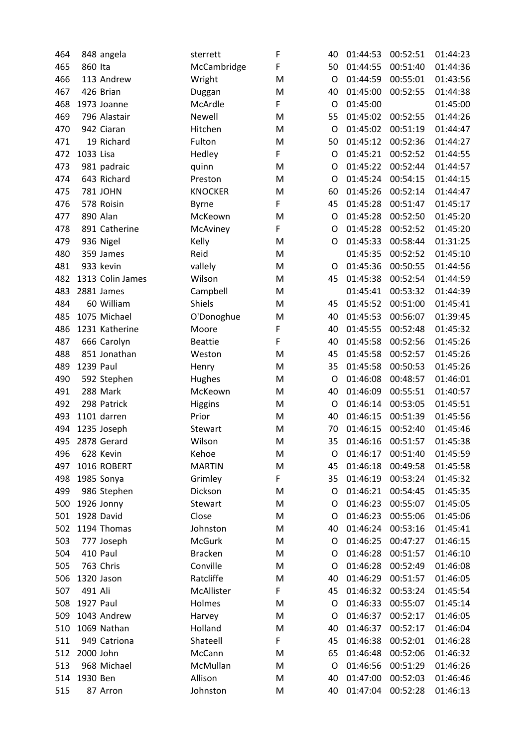| 464 |           | 848 angela       | sterrett       | F | 40 | 01:44:53 | 00:52:51 | 01:44:23 |
|-----|-----------|------------------|----------------|---|----|----------|----------|----------|
| 465 | 860 Ita   |                  | McCambridge    | F | 50 | 01:44:55 | 00:51:40 | 01:44:36 |
| 466 |           | 113 Andrew       | Wright         | M | O  | 01:44:59 | 00:55:01 | 01:43:56 |
| 467 |           | 426 Brian        | Duggan         | M | 40 | 01:45:00 | 00:52:55 | 01:44:38 |
| 468 |           | 1973 Joanne      | McArdle        | F | O  | 01:45:00 |          | 01:45:00 |
| 469 |           | 796 Alastair     | Newell         | M | 55 | 01:45:02 | 00:52:55 | 01:44:26 |
| 470 |           | 942 Ciaran       | Hitchen        | M | O  | 01:45:02 | 00:51:19 | 01:44:47 |
| 471 |           | 19 Richard       | Fulton         | M | 50 | 01:45:12 | 00:52:36 | 01:44:27 |
| 472 | 1033 Lisa |                  | Hedley         | F | O  | 01:45:21 | 00:52:52 | 01:44:55 |
| 473 |           | 981 padraic      | quinn          | M | O  | 01:45:22 | 00:52:44 | 01:44:57 |
| 474 |           | 643 Richard      | Preston        | M | O  | 01:45:24 | 00:54:15 | 01:44:15 |
| 475 |           | 781 JOHN         | <b>KNOCKER</b> | M | 60 | 01:45:26 | 00:52:14 | 01:44:47 |
| 476 |           | 578 Roisin       | <b>Byrne</b>   | F | 45 | 01:45:28 | 00:51:47 | 01:45:17 |
| 477 |           | 890 Alan         | McKeown        | M | O  | 01:45:28 | 00:52:50 | 01:45:20 |
| 478 |           | 891 Catherine    | McAviney       | F | O  | 01:45:28 | 00:52:52 | 01:45:20 |
| 479 |           | 936 Nigel        | Kelly          | M | O  | 01:45:33 | 00:58:44 | 01:31:25 |
| 480 |           | 359 James        | Reid           | M |    | 01:45:35 | 00:52:52 | 01:45:10 |
| 481 |           | 933 kevin        | vallely        | M | O  | 01:45:36 | 00:50:55 | 01:44:56 |
| 482 |           | 1313 Colin James | Wilson         | M | 45 | 01:45:38 | 00:52:54 | 01:44:59 |
| 483 |           | 2881 James       | Campbell       | M |    | 01:45:41 | 00:53:32 | 01:44:39 |
| 484 |           | 60 William       | Shiels         | M | 45 | 01:45:52 | 00:51:00 | 01:45:41 |
| 485 |           | 1075 Michael     | O'Donoghue     | M | 40 | 01:45:53 | 00:56:07 | 01:39:45 |
| 486 |           | 1231 Katherine   | Moore          | F | 40 | 01:45:55 | 00:52:48 | 01:45:32 |
| 487 |           | 666 Carolyn      | <b>Beattie</b> | F | 40 | 01:45:58 | 00:52:56 | 01:45:26 |
| 488 |           | 851 Jonathan     | Weston         | M | 45 | 01:45:58 | 00:52:57 | 01:45:26 |
| 489 | 1239 Paul |                  | Henry          | M | 35 | 01:45:58 | 00:50:53 | 01:45:26 |
| 490 |           | 592 Stephen      | <b>Hughes</b>  | M | O  | 01:46:08 | 00:48:57 | 01:46:01 |
| 491 |           | 288 Mark         | McKeown        | M | 40 | 01:46:09 | 00:55:51 | 01:40:57 |
| 492 |           | 298 Patrick      | <b>Higgins</b> | M | O  | 01:46:14 | 00:53:05 | 01:45:51 |
| 493 |           | 1101 darren      | Prior          | M | 40 | 01:46:15 | 00:51:39 | 01:45:56 |
| 494 |           | 1235 Joseph      | Stewart        | M | 70 | 01:46:15 | 00:52:40 | 01:45:46 |
| 495 |           | 2878 Gerard      | Wilson         | M | 35 | 01:46:16 | 00:51:57 | 01:45:38 |
| 496 |           | 628 Kevin        | Kehoe          | M | O  | 01:46:17 | 00:51:40 | 01:45:59 |
| 497 |           | 1016 ROBERT      | <b>MARTIN</b>  | M | 45 | 01:46:18 | 00:49:58 | 01:45:58 |
| 498 |           | 1985 Sonya       | Grimley        | F | 35 | 01:46:19 | 00:53:24 | 01:45:32 |
| 499 |           | 986 Stephen      | Dickson        | M | O  | 01:46:21 | 00:54:45 | 01:45:35 |
| 500 |           | 1926 Jonny       | Stewart        | M | O  | 01:46:23 | 00:55:07 | 01:45:05 |
| 501 |           | 1928 David       | Close          | M | O  | 01:46:23 | 00:55:06 | 01:45:06 |
| 502 |           | 1194 Thomas      | Johnston       | M | 40 | 01:46:24 | 00:53:16 | 01:45:41 |
| 503 |           | 777 Joseph       | <b>McGurk</b>  | M | O  | 01:46:25 | 00:47:27 | 01:46:15 |
| 504 |           | 410 Paul         | <b>Bracken</b> | M | O  | 01:46:28 | 00:51:57 | 01:46:10 |
| 505 |           | 763 Chris        | Conville       | M | O  | 01:46:28 | 00:52:49 | 01:46:08 |
| 506 |           | 1320 Jason       | Ratcliffe      | M | 40 | 01:46:29 | 00:51:57 | 01:46:05 |
| 507 | 491 Ali   |                  | McAllister     | F | 45 | 01:46:32 | 00:53:24 | 01:45:54 |
|     | 1927 Paul |                  | Holmes         |   | O  | 01:46:33 | 00:55:07 |          |
| 508 |           | 1043 Andrew      |                | M |    |          |          | 01:45:14 |
| 509 |           |                  | Harvey         | M | O  | 01:46:37 | 00:52:17 | 01:46:05 |
| 510 |           | 1069 Nathan      | Holland        | M | 40 | 01:46:37 | 00:52:17 | 01:46:04 |
| 511 |           | 949 Catriona     | Shateell       | F | 45 | 01:46:38 | 00:52:01 | 01:46:28 |
| 512 | 2000 John |                  | McCann         | M | 65 | 01:46:48 | 00:52:06 | 01:46:32 |
| 513 |           | 968 Michael      | McMullan       | M | O  | 01:46:56 | 00:51:29 | 01:46:26 |
| 514 | 1930 Ben  |                  | Allison        | M | 40 | 01:47:00 | 00:52:03 | 01:46:46 |
| 515 |           | 87 Arron         | Johnston       | M | 40 | 01:47:04 | 00:52:28 | 01:46:13 |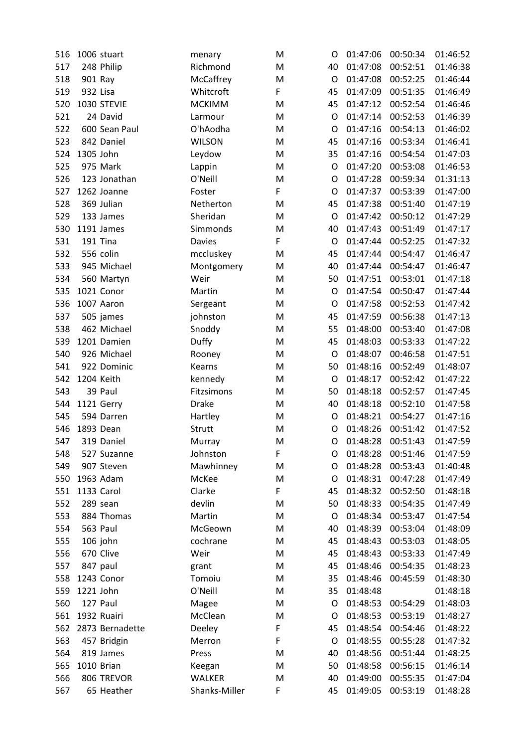| 516 | 1006 stuart |                 | menary           | M      | O  | 01:47:06 | 00:50:34 | 01:46:52             |
|-----|-------------|-----------------|------------------|--------|----|----------|----------|----------------------|
| 517 | 248 Philip  |                 | Richmond         | M      | 40 | 01:47:08 | 00:52:51 | 01:46:38             |
| 518 | 901 Ray     |                 | McCaffrey        | M      | O  | 01:47:08 | 00:52:25 | 01:46:44             |
| 519 | 932 Lisa    |                 | Whitcroft        | F      | 45 | 01:47:09 | 00:51:35 | 01:46:49             |
| 520 | 1030 STEVIE |                 | <b>MCKIMM</b>    | M      | 45 | 01:47:12 | 00:52:54 | 01:46:46             |
| 521 | 24 David    |                 | Larmour          | M      | O  | 01:47:14 | 00:52:53 | 01:46:39             |
| 522 |             | 600 Sean Paul   | O'hAodha         | M      | O  | 01:47:16 | 00:54:13 | 01:46:02             |
| 523 | 842 Daniel  |                 | <b>WILSON</b>    | M      | 45 | 01:47:16 | 00:53:34 | 01:46:41             |
| 524 | 1305 John   |                 | Leydow           | M      | 35 | 01:47:16 | 00:54:54 | 01:47:03             |
| 525 | 975 Mark    |                 | Lappin           | M      | O  | 01:47:20 | 00:53:08 | 01:46:53             |
| 526 |             | 123 Jonathan    | O'Neill          | M      | O  | 01:47:28 | 00:59:34 | 01:31:13             |
| 527 | 1262 Joanne |                 | Foster           | F      | O  | 01:47:37 | 00:53:39 | 01:47:00             |
| 528 | 369 Julian  |                 | Netherton        | M      | 45 | 01:47:38 | 00:51:40 | 01:47:19             |
| 529 | 133 James   |                 | Sheridan         | M      | O  | 01:47:42 | 00:50:12 | 01:47:29             |
| 530 | 1191 James  |                 | Simmonds         | M      | 40 | 01:47:43 | 00:51:49 | 01:47:17             |
| 531 | 191 Tina    |                 | <b>Davies</b>    | F      | O  | 01:47:44 | 00:52:25 | 01:47:32             |
| 532 | 556 colin   |                 | mccluskey        | M      | 45 | 01:47:44 | 00:54:47 | 01:46:47             |
| 533 |             | 945 Michael     | Montgomery       | M      | 40 | 01:47:44 | 00:54:47 | 01:46:47             |
| 534 |             | 560 Martyn      | Weir             | M      | 50 | 01:47:51 | 00:53:01 | 01:47:18             |
| 535 | 1021 Conor  |                 | Martin           | M      | O  | 01:47:54 | 00:50:47 | 01:47:44             |
| 536 | 1007 Aaron  |                 | Sergeant         | M      | O  | 01:47:58 | 00:52:53 | 01:47:42             |
| 537 | 505 james   |                 | johnston         | M      | 45 | 01:47:59 | 00:56:38 | 01:47:13             |
| 538 |             | 462 Michael     | Snoddy           | M      | 55 | 01:48:00 | 00:53:40 | 01:47:08             |
| 539 | 1201 Damien |                 | <b>Duffy</b>     | M      | 45 | 01:48:03 | 00:53:33 | 01:47:22             |
| 540 |             | 926 Michael     | Rooney           | M      | O  | 01:48:07 | 00:46:58 | 01:47:51             |
| 541 |             | 922 Dominic     | Kearns           | M      | 50 | 01:48:16 | 00:52:49 | 01:48:07             |
| 542 | 1204 Keith  |                 | kennedy          | M      | O  | 01:48:17 | 00:52:42 | 01:47:22             |
| 543 | 39 Paul     |                 | Fitzsimons       | M      | 50 | 01:48:18 | 00:52:57 | 01:47:45             |
| 544 | 1121 Gerry  |                 | <b>Drake</b>     | M      | 40 | 01:48:18 | 00:52:10 | 01:47:58             |
| 545 | 594 Darren  |                 | Hartley          | M      | O  | 01:48:21 | 00:54:27 | 01:47:16             |
| 546 | 1893 Dean   |                 | Strutt           | M      | O  | 01:48:26 | 00:51:42 | 01:47:52             |
| 547 | 319 Daniel  |                 | Murray           | M      | O  | 01:48:28 | 00:51:43 | 01:47:59             |
| 548 |             | 527 Suzanne     | Johnston         | F      | O  | 01:48:28 | 00:51:46 | 01:47:59             |
| 549 | 907 Steven  |                 | Mawhinney        | M      | O  | 01:48:28 | 00:53:43 | 01:40:48             |
| 550 | 1963 Adam   |                 | McKee            | M      | O  | 01:48:31 | 00:47:28 | 01:47:49             |
| 551 | 1133 Carol  |                 | Clarke           | F      | 45 | 01:48:32 | 00:52:50 | 01:48:18             |
| 552 | 289 sean    |                 | devlin           | M      | 50 | 01:48:33 | 00:54:35 | 01:47:49             |
| 553 |             | 884 Thomas      | Martin           | M      | O  | 01:48:34 | 00:53:47 | 01:47:54             |
| 554 | 563 Paul    |                 | McGeown          | M      | 40 | 01:48:39 | 00:53:04 | 01:48:09             |
| 555 | 106 john    |                 | cochrane         | M      | 45 | 01:48:43 | 00:53:03 | 01:48:05             |
| 556 | 670 Clive   |                 | Weir             | M      | 45 | 01:48:43 | 00:53:33 | 01:47:49             |
| 557 | 847 paul    |                 | grant            | M      | 45 | 01:48:46 | 00:54:35 | 01:48:23             |
| 558 | 1243 Conor  |                 | Tomoiu           | M      | 35 | 01:48:46 | 00:45:59 | 01:48:30             |
| 559 | 1221 John   |                 | O'Neill          | M      | 35 | 01:48:48 |          | 01:48:18             |
| 560 | 127 Paul    |                 |                  | M      | O  | 01:48:53 | 00:54:29 | 01:48:03             |
| 561 | 1932 Ruairi |                 | Magee<br>McClean | M      | O  | 01:48:53 | 00:53:19 | 01:48:27             |
|     |             | 2873 Bernadette |                  |        | 45 | 01:48:54 |          | 01:48:22             |
| 562 |             |                 | Deeley           | F<br>F | O  | 01:48:55 | 00:54:46 |                      |
| 563 | 457 Bridgin |                 | Merron           |        | 40 | 01:48:56 | 00:55:28 | 01:47:32<br>01:48:25 |
| 564 | 819 James   |                 | Press            | M      | 50 |          | 00:51:44 | 01:46:14             |
| 565 | 1010 Brian  |                 | Keegan           | M      |    | 01:48:58 | 00:56:15 |                      |
| 566 |             | 806 TREVOR      | <b>WALKER</b>    | M      | 40 | 01:49:00 | 00:55:35 | 01:47:04             |
| 567 |             | 65 Heather      | Shanks-Miller    | F      | 45 | 01:49:05 | 00:53:19 | 01:48:28             |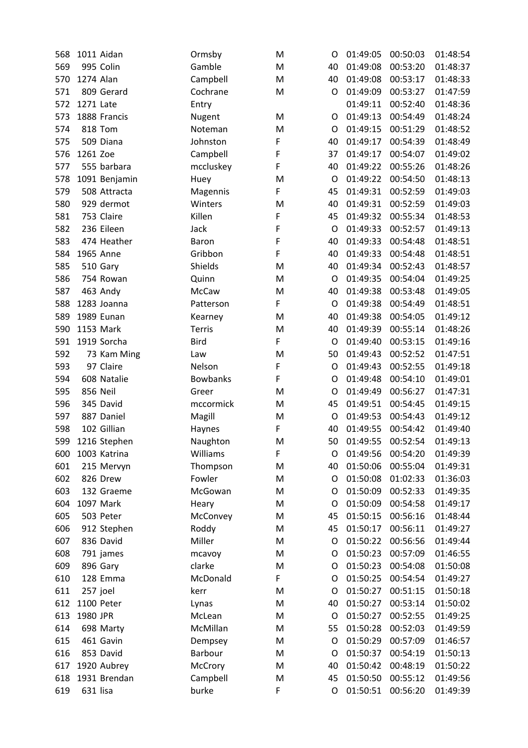| 568 |           | 1011 Aidan     | Ormsby             | M | O  | 01:49:05 | 00:50:03 | 01:48:54 |
|-----|-----------|----------------|--------------------|---|----|----------|----------|----------|
| 569 |           | 995 Colin      | Gamble             | M | 40 | 01:49:08 | 00:53:20 | 01:48:37 |
| 570 | 1274 Alan |                | Campbell           | M | 40 | 01:49:08 | 00:53:17 | 01:48:33 |
| 571 |           | 809 Gerard     | Cochrane           | M | O  | 01:49:09 | 00:53:27 | 01:47:59 |
| 572 | 1271 Late |                | Entry              |   |    | 01:49:11 | 00:52:40 | 01:48:36 |
| 573 |           | 1888 Francis   | Nugent             | M | O  | 01:49:13 | 00:54:49 | 01:48:24 |
| 574 |           | <b>818 Tom</b> | Noteman            | M | O  | 01:49:15 | 00:51:29 | 01:48:52 |
| 575 |           | 509 Diana      | Johnston           | F | 40 | 01:49:17 | 00:54:39 | 01:48:49 |
| 576 | 1261 Zoe  |                | Campbell           | F | 37 | 01:49:17 | 00:54:07 | 01:49:02 |
| 577 |           | 555 barbara    | mccluskey          | F | 40 | 01:49:22 | 00:55:26 | 01:48:26 |
| 578 |           | 1091 Benjamin  | Huey               | M | O  | 01:49:22 | 00:54:50 | 01:48:13 |
| 579 |           | 508 Attracta   | Magennis           | F | 45 | 01:49:31 | 00:52:59 | 01:49:03 |
| 580 |           | 929 dermot     | Winters            | M | 40 | 01:49:31 | 00:52:59 | 01:49:03 |
| 581 |           | 753 Claire     | Killen             | F | 45 | 01:49:32 | 00:55:34 | 01:48:53 |
| 582 |           | 236 Eileen     | Jack               | F | O  | 01:49:33 | 00:52:57 | 01:49:13 |
| 583 |           | 474 Heather    | Baron              | F | 40 | 01:49:33 | 00:54:48 | 01:48:51 |
| 584 |           | 1965 Anne      | Gribbon            | F | 40 | 01:49:33 | 00:54:48 | 01:48:51 |
| 585 |           | 510 Gary       | Shields            | M | 40 | 01:49:34 | 00:52:43 | 01:48:57 |
| 586 |           | 754 Rowan      | Quinn              | M | O  | 01:49:35 | 00:54:04 | 01:49:25 |
| 587 |           | 463 Andy       | McCaw              | M | 40 | 01:49:38 | 00:53:48 | 01:49:05 |
| 588 |           | 1283 Joanna    | Patterson          | F | O  | 01:49:38 | 00:54:49 | 01:48:51 |
| 589 |           | 1989 Eunan     | Kearney            | M | 40 | 01:49:38 | 00:54:05 | 01:49:12 |
| 590 |           | 1153 Mark      | <b>Terris</b>      | M | 40 | 01:49:39 | 00:55:14 | 01:48:26 |
| 591 |           | 1919 Sorcha    | <b>Bird</b>        | F | O  | 01:49:40 | 00:53:15 | 01:49:16 |
| 592 |           | 73 Kam Ming    | Law                | M | 50 | 01:49:43 | 00:52:52 | 01:47:51 |
| 593 |           | 97 Claire      | Nelson             | F | O  | 01:49:43 | 00:52:55 | 01:49:18 |
| 594 |           | 608 Natalie    | <b>Bowbanks</b>    | F | O  | 01:49:48 | 00:54:10 | 01:49:01 |
| 595 |           | 856 Neil       | Greer              | M | O  | 01:49:49 | 00:56:27 | 01:47:31 |
| 596 |           | 345 David      | mccormick          | M | 45 | 01:49:51 | 00:54:45 | 01:49:15 |
| 597 |           | 887 Daniel     | Magill             | M | O  | 01:49:53 | 00:54:43 | 01:49:12 |
| 598 |           | 102 Gillian    | Haynes             | F | 40 | 01:49:55 | 00:54:42 | 01:49:40 |
| 599 |           | 1216 Stephen   | Naughton           | M | 50 | 01:49:55 | 00:52:54 | 01:49:13 |
| 600 |           | 1003 Katrina   | Williams           | F | O  | 01:49:56 | 00:54:20 | 01:49:39 |
| 601 |           | 215 Mervyn     | Thompson           | M | 40 | 01:50:06 | 00:55:04 | 01:49:31 |
| 602 |           | 826 Drew       | Fowler             | M | O  | 01:50:08 | 01:02:33 | 01:36:03 |
| 603 |           | 132 Graeme     | McGowan            | M | O  | 01:50:09 | 00:52:33 | 01:49:35 |
| 604 |           | 1097 Mark      | Heary              | M | O  | 01:50:09 | 00:54:58 | 01:49:17 |
| 605 |           | 503 Peter      | McConvey           | M | 45 | 01:50:15 | 00:56:16 | 01:48:44 |
| 606 |           | 912 Stephen    | Roddy              | M | 45 | 01:50:17 | 00:56:11 | 01:49:27 |
| 607 |           | 836 David      | Miller             | M | O  | 01:50:22 | 00:56:56 | 01:49:44 |
| 608 |           | 791 james      | mcavoy             | M | O  | 01:50:23 | 00:57:09 | 01:46:55 |
| 609 |           | 896 Gary       | clarke             | M | O  | 01:50:23 | 00:54:08 | 01:50:08 |
| 610 |           | 128 Emma       | McDonald           | F | O  | 01:50:25 | 00:54:54 | 01:49:27 |
| 611 | 257 joel  |                | kerr               | M | O  | 01:50:27 | 00:51:15 | 01:50:18 |
| 612 |           | 1100 Peter     | Lynas              | M | 40 | 01:50:27 | 00:53:14 | 01:50:02 |
| 613 | 1980 JPR  |                | McLean             | M | O  | 01:50:27 | 00:52:55 | 01:49:25 |
| 614 |           | 698 Marty      | McMillan           | M | 55 | 01:50:28 | 00:52:03 | 01:49:59 |
| 615 |           | 461 Gavin      |                    | M | O  | 01:50:29 | 00:57:09 | 01:46:57 |
| 616 |           | 853 David      | Dempsey<br>Barbour | M | O  | 01:50:37 | 00:54:19 | 01:50:13 |
| 617 |           | 1920 Aubrey    | McCrory            | M | 40 | 01:50:42 | 00:48:19 | 01:50:22 |
|     |           | 1931 Brendan   |                    |   | 45 | 01:50:50 |          | 01:49:56 |
| 618 |           |                | Campbell           | M |    |          | 00:55:12 |          |
| 619 | 631 lisa  |                | burke              | F | O  | 01:50:51 | 00:56:20 | 01:49:39 |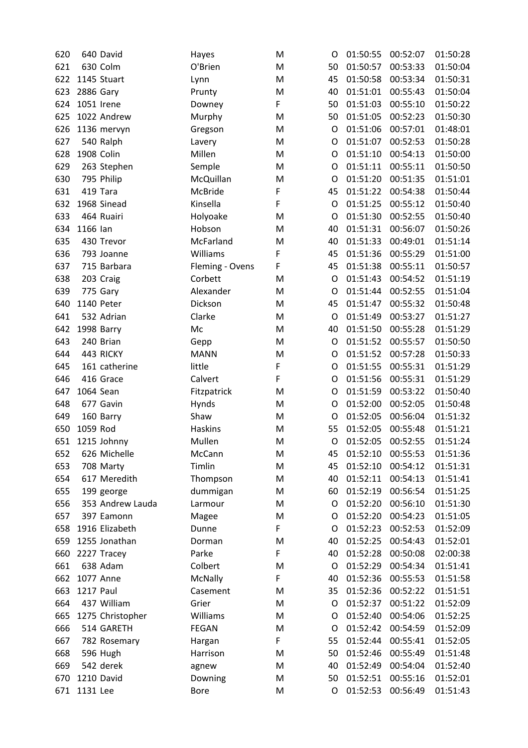| 620 |                  | 640 David             | Hayes           | M | O        | 01:50:55             | 00:52:07             | 01:50:28             |
|-----|------------------|-----------------------|-----------------|---|----------|----------------------|----------------------|----------------------|
| 621 |                  | 630 Colm              | O'Brien         | M | 50       | 01:50:57             | 00:53:33             | 01:50:04             |
| 622 |                  | 1145 Stuart           | Lynn            | M | 45       | 01:50:58             | 00:53:34             | 01:50:31             |
| 623 | 2886 Gary        |                       | Prunty          | M | 40       | 01:51:01             | 00:55:43             | 01:50:04             |
| 624 | 1051 Irene       |                       | Downey          | F | 50       | 01:51:03             | 00:55:10             | 01:50:22             |
| 625 |                  | 1022 Andrew           | Murphy          | M | 50       | 01:51:05             | 00:52:23             | 01:50:30             |
| 626 |                  | 1136 mervyn           | Gregson         | M | O        | 01:51:06             | 00:57:01             | 01:48:01             |
| 627 |                  | 540 Ralph             | Lavery          | M | O        | 01:51:07             | 00:52:53             | 01:50:28             |
| 628 | 1908 Colin       |                       | Millen          | M | O        | 01:51:10             | 00:54:13             | 01:50:00             |
| 629 |                  | 263 Stephen           | Semple          | M | O        | 01:51:11             | 00:55:11             | 01:50:50             |
| 630 |                  | 795 Philip            | McQuillan       | M | O        | 01:51:20             | 00:51:35             | 01:51:01             |
| 631 | 419 Tara         |                       | McBride         | F | 45       | 01:51:22             | 00:54:38             | 01:50:44             |
| 632 |                  | 1968 Sinead           | Kinsella        | F | O        | 01:51:25             | 00:55:12             | 01:50:40             |
| 633 |                  | 464 Ruairi            | Holyoake        | M | O        | 01:51:30             | 00:52:55             | 01:50:40             |
| 634 | 1166 lan         |                       | Hobson          | M | 40       | 01:51:31             | 00:56:07             | 01:50:26             |
| 635 |                  | 430 Trevor            | McFarland       | M | 40       | 01:51:33             | 00:49:01             | 01:51:14             |
| 636 |                  | 793 Joanne            | Williams        | F | 45       | 01:51:36             | 00:55:29             | 01:51:00             |
| 637 |                  | 715 Barbara           | Fleming - Ovens | F | 45       | 01:51:38             | 00:55:11             | 01:50:57             |
| 638 |                  | 203 Craig             | Corbett         | M | O        | 01:51:43             | 00:54:52             | 01:51:19             |
| 639 |                  | 775 Gary              | Alexander       | M | O        | 01:51:44             | 00:52:55             | 01:51:04             |
| 640 | 1140 Peter       |                       | Dickson         | M | 45       | 01:51:47             | 00:55:32             | 01:50:48             |
| 641 |                  | 532 Adrian            | Clarke          | M | O        | 01:51:49             | 00:53:27             | 01:51:27             |
| 642 | 1998 Barry       |                       | Mc              | M | 40       | 01:51:50             | 00:55:28             | 01:51:29             |
| 643 |                  | 240 Brian             | Gepp            | M | $\circ$  | 01:51:52             | 00:55:57             | 01:50:50             |
| 644 |                  | 443 RICKY             | <b>MANN</b>     | M | O        | 01:51:52             | 00:57:28             | 01:50:33             |
| 645 |                  | 161 catherine         | little          | F | O        | 01:51:55             | 00:55:31             | 01:51:29             |
| 646 |                  | 416 Grace             | Calvert         | F | O        | 01:51:56             | 00:55:31             | 01:51:29             |
| 647 | 1064 Sean        |                       | Fitzpatrick     | M | O        | 01:51:59             | 00:53:22             | 01:50:40             |
| 648 |                  | 677 Gavin             | Hynds           | M | O        | 01:52:00             | 00:52:05             | 01:50:48             |
| 649 |                  | 160 Barry             | Shaw            | M | O        | 01:52:05             | 00:56:04             | 01:51:32             |
| 650 | 1059 Rod         |                       | <b>Haskins</b>  | M | 55       | 01:52:05             | 00:55:48             | 01:51:21             |
| 651 |                  | 1215 Johnny           | Mullen          | M | O        | 01:52:05             | 00:52:55             | 01:51:24             |
| 652 |                  | 626 Michelle          | McCann          | M | 45       | 01:52:10             | 00:55:53             | 01:51:36             |
| 653 |                  | 708 Marty             | Timlin          | M | 45       | 01:52:10             | 00:54:12             | 01:51:31             |
| 654 |                  | 617 Meredith          | Thompson        | M | 40       | 01:52:11             | 00:54:13             | 01:51:41             |
| 655 |                  | 199 george            | dummigan        | M | 60       | 01:52:19             | 00:56:54             | 01:51:25             |
| 656 |                  | 353 Andrew Lauda      | Larmour         | M | O        | 01:52:20             | 00:56:10             | 01:51:30             |
| 657 |                  | 397 Eamonn            | Magee           | M | O        | 01:52:20             | 00:54:23             | 01:51:05             |
| 658 |                  | 1916 Elizabeth        | Dunne           | F | O        | 01:52:23             | 00:52:53             | 01:52:09             |
| 659 |                  | 1255 Jonathan         | Dorman          | M | 40       | 01:52:25             | 00:54:43             | 01:52:01             |
| 660 |                  | 2227 Tracey           | Parke           | F | 40       | 01:52:28             | 00:50:08             | 02:00:38             |
| 661 |                  | 638 Adam              | Colbert         | M | O        | 01:52:29             | 00:54:34             | 01:51:41             |
| 662 | 1077 Anne        |                       | McNally         | F | 40       | 01:52:36             | 00:55:53             | 01:51:58             |
| 663 | <b>1217 Paul</b> |                       | Casement        | M | 35       | 01:52:36             | 00:52:22             | 01:51:51             |
| 664 |                  | 437 William           | Grier           | M | O        | 01:52:37             | 00:51:22             | 01:52:09             |
| 665 |                  | 1275 Christopher      | Williams        | M | O        | 01:52:40             | 00:54:06             | 01:52:25             |
| 666 |                  | 514 GARETH            | <b>FEGAN</b>    | M | O        | 01:52:42             | 00:54:59             | 01:52:09             |
|     |                  |                       |                 |   |          |                      |                      |                      |
| 667 |                  | 782 Rosemary          | Hargan          | F | 55<br>50 | 01:52:44<br>01:52:46 | 00:55:41<br>00:55:49 | 01:52:05<br>01:51:48 |
| 668 |                  | 596 Hugh<br>542 derek | Harrison        | M | 40       |                      |                      |                      |
| 669 |                  |                       | agnew           | M |          | 01:52:49             | 00:54:04             | 01:52:40             |
| 670 | 1210 David       |                       | Downing         | M | 50       | 01:52:51             | 00:55:16             | 01:52:01             |
| 671 | 1131 Lee         |                       | <b>Bore</b>     | M | O        | 01:52:53             | 00:56:49             | 01:51:43             |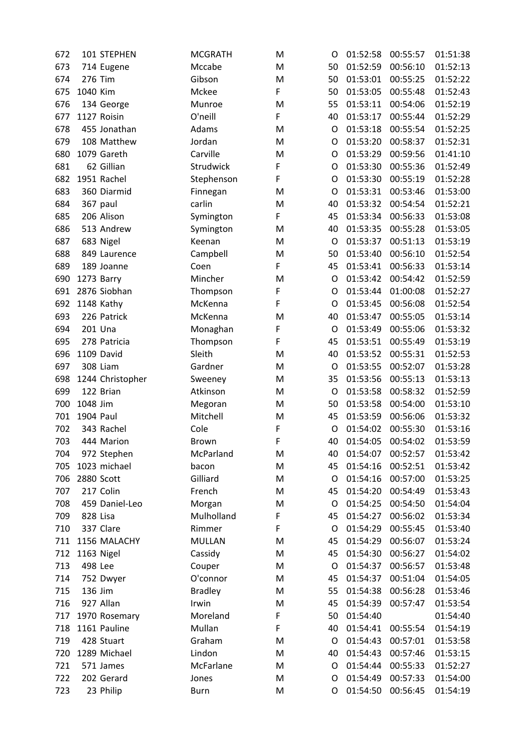| 672 |              | 101 STEPHEN      | <b>MCGRATH</b> | M      | O       | 01:52:58 | 00:55:57             | 01:51:38 |
|-----|--------------|------------------|----------------|--------|---------|----------|----------------------|----------|
| 673 |              | 714 Eugene       | Mccabe         | M      | 50      | 01:52:59 | 00:56:10             | 01:52:13 |
| 674 | 276 Tim      |                  | Gibson         | M      | 50      | 01:53:01 | 00:55:25             | 01:52:22 |
| 675 | 1040 Kim     |                  | Mckee          | F      | 50      | 01:53:05 | 00:55:48             | 01:52:43 |
| 676 |              | 134 George       | Munroe         | M      | 55      | 01:53:11 | 00:54:06             | 01:52:19 |
| 677 | 1127 Roisin  |                  | O'neill        | F      | 40      | 01:53:17 | 00:55:44             | 01:52:29 |
| 678 |              | 455 Jonathan     | Adams          | M      | $\circ$ | 01:53:18 | 00:55:54             | 01:52:25 |
| 679 |              | 108 Matthew      | Jordan         | M      | O       | 01:53:20 | 00:58:37             | 01:52:31 |
| 680 | 1079 Gareth  |                  | Carville       | M      | O       | 01:53:29 | 00:59:56             | 01:41:10 |
| 681 |              | 62 Gillian       | Strudwick      | F      | O       | 01:53:30 | 00:55:36             | 01:52:49 |
| 682 | 1951 Rachel  |                  | Stephenson     | F      | O       | 01:53:30 | 00:55:19             | 01:52:28 |
| 683 |              | 360 Diarmid      | Finnegan       | M      | O       | 01:53:31 | 00:53:46             | 01:53:00 |
| 684 | 367 paul     |                  | carlin         | M      | 40      | 01:53:32 | 00:54:54             | 01:52:21 |
| 685 | 206 Alison   |                  | Symington      | F      | 45      | 01:53:34 | 00:56:33             | 01:53:08 |
| 686 |              | 513 Andrew       | Symington      | M      | 40      | 01:53:35 | 00:55:28             | 01:53:05 |
| 687 | 683 Nigel    |                  | Keenan         | M      | O       | 01:53:37 | 00:51:13             | 01:53:19 |
| 688 |              | 849 Laurence     | Campbell       | M      | 50      | 01:53:40 | 00:56:10             | 01:52:54 |
| 689 | 189 Joanne   |                  | Coen           | F      | 45      | 01:53:41 | 00:56:33             | 01:53:14 |
| 690 | 1273 Barry   |                  | Mincher        | M      | O       | 01:53:42 | 00:54:42             | 01:52:59 |
| 691 | 2876 Siobhan |                  | Thompson       | F      | O       | 01:53:44 | 01:00:08             | 01:52:27 |
| 692 | 1148 Kathy   |                  | McKenna        | F      | O       | 01:53:45 | 00:56:08             | 01:52:54 |
| 693 | 226 Patrick  |                  | McKenna        | M      | 40      | 01:53:47 | 00:55:05             | 01:53:14 |
| 694 | 201 Una      |                  | Monaghan       | F      | O       | 01:53:49 | 00:55:06             | 01:53:32 |
| 695 |              | 278 Patricia     | Thompson       | F      | 45      | 01:53:51 | 00:55:49             | 01:53:19 |
| 696 | 1109 David   |                  | Sleith         | M      | 40      | 01:53:52 | 00:55:31             | 01:52:53 |
| 697 | 308 Liam     |                  | Gardner        | M      | O       | 01:53:55 | 00:52:07             | 01:53:28 |
| 698 |              | 1244 Christopher | Sweeney        | M      | 35      | 01:53:56 | 00:55:13             | 01:53:13 |
| 699 | 122 Brian    |                  | Atkinson       | M      | O       | 01:53:58 | 00:58:32             | 01:52:59 |
| 700 | 1048 Jim     |                  | Megoran        | M      | 50      | 01:53:58 | 00:54:00             | 01:53:10 |
| 701 | 1904 Paul    |                  | Mitchell       | M      | 45      | 01:53:59 | 00:56:06             | 01:53:32 |
| 702 | 343 Rachel   |                  | Cole           | F      | O       | 01:54:02 | 00:55:30             | 01:53:16 |
| 703 |              | 444 Marion       | <b>Brown</b>   | F      | 40      | 01:54:05 | 00:54:02             | 01:53:59 |
| 704 |              | 972 Stephen      | McParland      | M      | 40      | 01:54:07 | 00:52:57             | 01:53:42 |
| 705 | 1023 michael |                  | bacon          | M      | 45      | 01:54:16 | 00:52:51             | 01:53:42 |
| 706 | 2880 Scott   |                  | Gilliard       | M      | O       | 01:54:16 | 00:57:00             | 01:53:25 |
| 707 | 217 Colin    |                  | French         | M      | 45      | 01:54:20 | 00:54:49             | 01:53:43 |
| 708 |              | 459 Daniel-Leo   | Morgan         | M      | O       | 01:54:25 | 00:54:50             | 01:54:04 |
| 709 | 828 Lisa     |                  | Mulholland     | F      | 45      | 01:54:27 | 00:56:02             | 01:53:34 |
| 710 | 337 Clare    |                  | Rimmer         | F      | O       | 01:54:29 | 00:55:45             | 01:53:40 |
| 711 |              | 1156 MALACHY     | <b>MULLAN</b>  | M      | 45      | 01:54:29 | 00:56:07             | 01:53:24 |
| 712 | 1163 Nigel   |                  | Cassidy        | M      | 45      | 01:54:30 | 00:56:27             | 01:54:02 |
| 713 | 498 Lee      |                  | Couper         | M      | O       | 01:54:37 | 00:56:57             | 01:53:48 |
| 714 | 752 Dwyer    |                  | O'connor       | M      | 45      | 01:54:37 | 00:51:04             | 01:54:05 |
| 715 | 136 Jim      |                  | <b>Bradley</b> | M      | 55      | 01:54:38 | 00:56:28             | 01:53:46 |
| 716 | 927 Allan    |                  | Irwin          | M      | 45      | 01:54:39 | 00:57:47             | 01:53:54 |
| 717 |              | 1970 Rosemary    | Moreland       | F      | 50      | 01:54:40 |                      | 01:54:40 |
| 718 | 1161 Pauline |                  | Mullan         | F      | 40      | 01:54:41 | 00:55:54             | 01:54:19 |
| 719 | 428 Stuart   |                  | Graham         |        | O       | 01:54:43 |                      | 01:53:58 |
| 720 | 1289 Michael |                  | Lindon         | M<br>M | 40      | 01:54:43 | 00:57:01<br>00:57:46 | 01:53:15 |
| 721 | 571 James    |                  | McFarlane      | M      | O       | 01:54:44 | 00:55:33             | 01:52:27 |
|     | 202 Gerard   |                  |                |        |         | 01:54:49 |                      | 01:54:00 |
| 722 |              |                  | Jones          | M      | O       |          | 00:57:33             |          |
| 723 | 23 Philip    |                  | <b>Burn</b>    | M      | O       | 01:54:50 | 00:56:45             | 01:54:19 |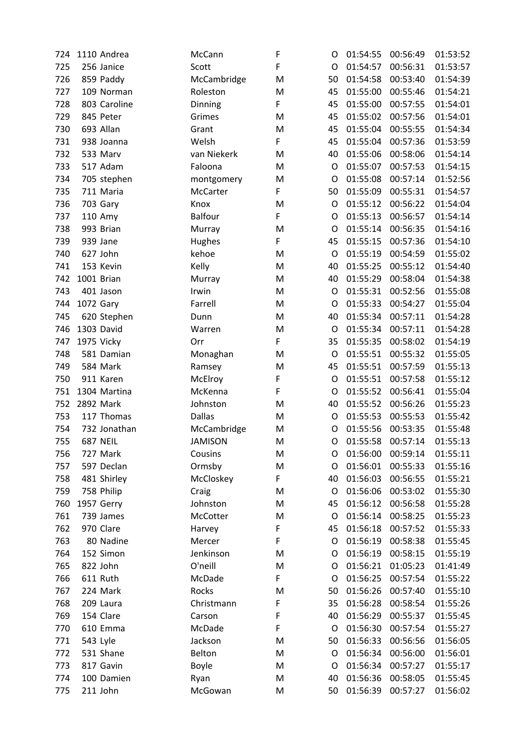| 724 | 1110 Andrea  | McCann         | F | O       | 01:54:55             | 00:56:49 | 01:53:52 |
|-----|--------------|----------------|---|---------|----------------------|----------|----------|
| 725 | 256 Janice   | Scott          | F | O       | 01:54:57             | 00:56:31 | 01:53:57 |
| 726 | 859 Paddy    | McCambridge    | M | 50      | 01:54:58             | 00:53:40 | 01:54:39 |
| 727 | 109 Norman   | Roleston       | M | 45      | 01:55:00             | 00:55:46 | 01:54:21 |
| 728 | 803 Caroline | Dinning        | F | 45      | 01:55:00             | 00:57:55 | 01:54:01 |
| 729 | 845 Peter    | Grimes         | M | 45      | 01:55:02             | 00:57:56 | 01:54:01 |
| 730 | 693 Allan    | Grant          | M | 45      | 01:55:04             | 00:55:55 | 01:54:34 |
| 731 | 938 Joanna   | Welsh          | F | 45      | 01:55:04             | 00:57:36 | 01:53:59 |
| 732 | 533 Marv     | van Niekerk    | M | 40      | 01:55:06             | 00:58:06 | 01:54:14 |
| 733 | 517 Adam     | Faloona        | M | O       | 01:55:07             | 00:57:53 | 01:54:15 |
| 734 | 705 stephen  | montgomery     | M | O       | 01:55:08             | 00:57:14 | 01:52:56 |
| 735 | 711 Maria    | McCarter       | F | 50      | 01:55:09             | 00:55:31 | 01:54:57 |
| 736 | 703 Gary     | Knox           | M | $\circ$ | 01:55:12             | 00:56:22 | 01:54:04 |
| 737 | 110 Amy      | Balfour        | F | O       | 01:55:13             | 00:56:57 | 01:54:14 |
| 738 | 993 Brian    | Murray         | M | O       | 01:55:14             | 00:56:35 | 01:54:16 |
| 739 | 939 Jane     | <b>Hughes</b>  | F | 45      | 01:55:15             | 00:57:36 | 01:54:10 |
| 740 | 627 John     | kehoe          | M | O       | 01:55:19             | 00:54:59 | 01:55:02 |
| 741 | 153 Kevin    | Kelly          | M | 40      | 01:55:25             | 00:55:12 | 01:54:40 |
| 742 | 1001 Brian   | Murray         | M | 40      | 01:55:29             | 00:58:04 | 01:54:38 |
| 743 | 401 Jason    | Irwin          | M | O       | 01:55:31             | 00:52:56 | 01:55:08 |
| 744 | 1072 Gary    | Farrell        | M | O       | 01:55:33             | 00:54:27 | 01:55:04 |
| 745 | 620 Stephen  | Dunn           | M | 40      | 01:55:34             | 00:57:11 | 01:54:28 |
| 746 | 1303 David   | Warren         | M | O       | 01:55:34             | 00:57:11 | 01:54:28 |
| 747 | 1975 Vicky   | Orr            | F | 35      | 01:55:35             | 00:58:02 | 01:54:19 |
| 748 | 581 Damian   | Monaghan       | M | O       | 01:55:51             | 00:55:32 | 01:55:05 |
| 749 | 584 Mark     | Ramsey         | M | 45      | 01:55:51             | 00:57:59 | 01:55:13 |
| 750 | 911 Karen    | McElroy        | F | O       | 01:55:51             | 00:57:58 | 01:55:12 |
| 751 | 1304 Martina | McKenna        | F | O       | 01:55:52             | 00:56:41 | 01:55:04 |
| 752 | 2892 Mark    | Johnston       | M | 40      | 01:55:52             | 00:56:26 | 01:55:23 |
| 753 | 117 Thomas   | <b>Dallas</b>  | M | O       | 01:55:53             | 00:55:53 | 01:55:42 |
| 754 | 732 Jonathan | McCambridge    | M | O       | 01:55:56             | 00:53:35 | 01:55:48 |
| 755 | 687 NEIL     | <b>JAMISON</b> | M | O       | 01:55:58             | 00:57:14 | 01:55:13 |
| 756 | 727 Mark     | Cousins        | M | O       | 01:56:00             | 00:59:14 | 01:55:11 |
| 757 | 597 Declan   | Ormsby         | M | O       | 01:56:01             | 00:55:33 | 01:55:16 |
| 758 | 481 Shirley  | McCloskey      | F | 40      | 01:56:03             | 00:56:55 | 01:55:21 |
| 759 | 758 Philip   | Craig          | M | O       | 01:56:06             | 00:53:02 | 01:55:30 |
| 760 | 1957 Gerry   | Johnston       | M | 45      | 01:56:12             | 00:56:58 | 01:55:28 |
| 761 | 739 James    | McCotter       | M | O       | 01:56:14             | 00:58:25 | 01:55:23 |
| 762 | 970 Clare    |                | F | 45      | 01:56:18             | 00:57:52 |          |
|     |              | Harvey         | F |         |                      |          | 01:55:33 |
| 763 | 80 Nadine    | Mercer         |   | O       | 01:56:19<br>01:56:19 | 00:58:38 | 01:55:45 |
| 764 | 152 Simon    | Jenkinson      | M | O       |                      | 00:58:15 | 01:55:19 |
| 765 | 822 John     | O'neill        | M | O       | 01:56:21             | 01:05:23 | 01:41:49 |
| 766 | 611 Ruth     | McDade         | F | O       | 01:56:25             | 00:57:54 | 01:55:22 |
| 767 | 224 Mark     | Rocks          | M | 50      | 01:56:26             | 00:57:40 | 01:55:10 |
| 768 | 209 Laura    | Christmann     | F | 35      | 01:56:28             | 00:58:54 | 01:55:26 |
| 769 | 154 Clare    | Carson         | F | 40      | 01:56:29             | 00:55:37 | 01:55:45 |
| 770 | 610 Emma     | McDade         | F | O       | 01:56:30             | 00:57:54 | 01:55:27 |
| 771 | 543 Lyle     | Jackson        | M | 50      | 01:56:33             | 00:56:56 | 01:56:05 |
| 772 | 531 Shane    | Belton         | M | O       | 01:56:34             | 00:56:00 | 01:56:01 |
| 773 | 817 Gavin    | <b>Boyle</b>   | M | O       | 01:56:34             | 00:57:27 | 01:55:17 |
| 774 | 100 Damien   | Ryan           | M | 40      | 01:56:36             | 00:58:05 | 01:55:45 |
| 775 | 211 John     | McGowan        | M | 50      | 01:56:39             | 00:57:27 | 01:56:02 |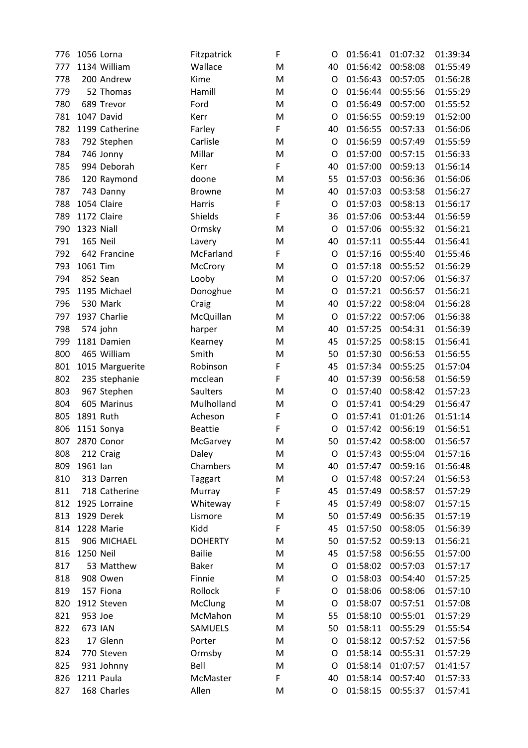| 776 | 1056 Lorna      | Fitzpatrick     | F | O  | 01:56:41 | 01:07:32 | 01:39:34 |
|-----|-----------------|-----------------|---|----|----------|----------|----------|
| 777 | 1134 William    | Wallace         | M | 40 | 01:56:42 | 00:58:08 | 01:55:49 |
| 778 | 200 Andrew      | Kime            | M | O  | 01:56:43 | 00:57:05 | 01:56:28 |
| 779 | 52 Thomas       | Hamill          | M | O  | 01:56:44 | 00:55:56 | 01:55:29 |
| 780 | 689 Trevor      | Ford            | M | O  | 01:56:49 | 00:57:00 | 01:55:52 |
| 781 | 1047 David      | Kerr            | M | O  | 01:56:55 | 00:59:19 | 01:52:00 |
| 782 | 1199 Catherine  | Farley          | F | 40 | 01:56:55 | 00:57:33 | 01:56:06 |
| 783 | 792 Stephen     | Carlisle        | M | O  | 01:56:59 | 00:57:49 | 01:55:59 |
| 784 | 746 Jonny       | Millar          | M | O  | 01:57:00 | 00:57:15 | 01:56:33 |
| 785 | 994 Deborah     | Kerr            | F | 40 | 01:57:00 | 00:59:13 | 01:56:14 |
| 786 | 120 Raymond     | doone           | M | 55 | 01:57:03 | 00:56:36 | 01:56:06 |
| 787 | 743 Danny       | <b>Browne</b>   | M | 40 | 01:57:03 | 00:53:58 | 01:56:27 |
| 788 | 1054 Claire     | Harris          | F | O  | 01:57:03 | 00:58:13 | 01:56:17 |
| 789 | 1172 Claire     | Shields         | F | 36 | 01:57:06 | 00:53:44 | 01:56:59 |
| 790 | 1323 Niall      | Ormsky          | M | O  | 01:57:06 | 00:55:32 | 01:56:21 |
| 791 | 165 Neil        | Lavery          | M | 40 | 01:57:11 | 00:55:44 | 01:56:41 |
| 792 | 642 Francine    | McFarland       | F | O  | 01:57:16 | 00:55:40 | 01:55:46 |
| 793 | 1061 Tim        | McCrory         | M | O  | 01:57:18 | 00:55:52 | 01:56:29 |
| 794 | 852 Sean        | Looby           | M | O  | 01:57:20 | 00:57:06 | 01:56:37 |
| 795 | 1195 Michael    | Donoghue        | M | O  | 01:57:21 | 00:56:57 | 01:56:21 |
| 796 | 530 Mark        | Craig           | M | 40 | 01:57:22 | 00:58:04 | 01:56:28 |
| 797 | 1937 Charlie    | McQuillan       | M | O  | 01:57:22 | 00:57:06 | 01:56:38 |
| 798 | 574 john        | harper          | M | 40 | 01:57:25 | 00:54:31 | 01:56:39 |
| 799 | 1181 Damien     | Kearney         | M | 45 | 01:57:25 | 00:58:15 | 01:56:41 |
| 800 | 465 William     | Smith           | M | 50 | 01:57:30 | 00:56:53 | 01:56:55 |
| 801 | 1015 Marguerite | Robinson        | F | 45 | 01:57:34 | 00:55:25 | 01:57:04 |
| 802 | 235 stephanie   | mcclean         | F | 40 | 01:57:39 | 00:56:58 | 01:56:59 |
| 803 | 967 Stephen     | <b>Saulters</b> | M | O  | 01:57:40 | 00:58:42 | 01:57:23 |
| 804 | 605 Marinus     | Mulholland      | M | O  | 01:57:41 | 00:54:29 | 01:56:47 |
| 805 | 1891 Ruth       | Acheson         | F | O  | 01:57:41 | 01:01:26 | 01:51:14 |
| 806 | 1151 Sonya      | <b>Beattie</b>  | F | 0  | 01:57:42 | 00:56:19 | 01:56:51 |
| 807 | 2870 Conor      | McGarvey        | M | 50 | 01:57:42 | 00:58:00 | 01:56:57 |
| 808 | 212 Craig       | Daley           | M | O  | 01:57:43 | 00:55:04 | 01:57:16 |
| 809 | 1961 lan        | Chambers        | M | 40 | 01:57:47 | 00:59:16 | 01:56:48 |
| 810 | 313 Darren      | Taggart         | M | O  | 01:57:48 | 00:57:24 | 01:56:53 |
| 811 | 718 Catherine   | Murray          | F | 45 | 01:57:49 | 00:58:57 | 01:57:29 |
| 812 | 1925 Lorraine   | Whiteway        | F | 45 | 01:57:49 | 00:58:07 | 01:57:15 |
| 813 | 1929 Derek      | Lismore         | M | 50 | 01:57:49 | 00:56:35 | 01:57:19 |
| 814 | 1228 Marie      | Kidd            | F | 45 | 01:57:50 | 00:58:05 | 01:56:39 |
| 815 | 906 MICHAEL     | <b>DOHERTY</b>  | M | 50 | 01:57:52 | 00:59:13 | 01:56:21 |
| 816 | 1250 Neil       | <b>Bailie</b>   | M | 45 | 01:57:58 | 00:56:55 | 01:57:00 |
| 817 | 53 Matthew      | <b>Baker</b>    | M | O  | 01:58:02 | 00:57:03 | 01:57:17 |
| 818 | 908 Owen        | Finnie          | M | O  | 01:58:03 | 00:54:40 | 01:57:25 |
| 819 | 157 Fiona       | Rollock         | F | O  | 01:58:06 | 00:58:06 | 01:57:10 |
| 820 | 1912 Steven     | McClung         | M | O  | 01:58:07 | 00:57:51 | 01:57:08 |
| 821 | 953 Joe         | McMahon         | M | 55 | 01:58:10 | 00:55:01 | 01:57:29 |
| 822 | 673 IAN         | SAMUELS         | M | 50 | 01:58:11 | 00:55:29 | 01:55:54 |
| 823 | 17 Glenn        | Porter          | M | O  | 01:58:12 | 00:57:52 | 01:57:56 |
| 824 | 770 Steven      | Ormsby          | M | O  | 01:58:14 | 00:55:31 | 01:57:29 |
| 825 | 931 Johnny      | Bell            | M | O  | 01:58:14 | 01:07:57 | 01:41:57 |
| 826 | 1211 Paula      | McMaster        | F | 40 | 01:58:14 | 00:57:40 | 01:57:33 |
| 827 | 168 Charles     | Allen           |   | O  | 01:58:15 |          | 01:57:41 |
|     |                 |                 | M |    |          | 00:55:37 |          |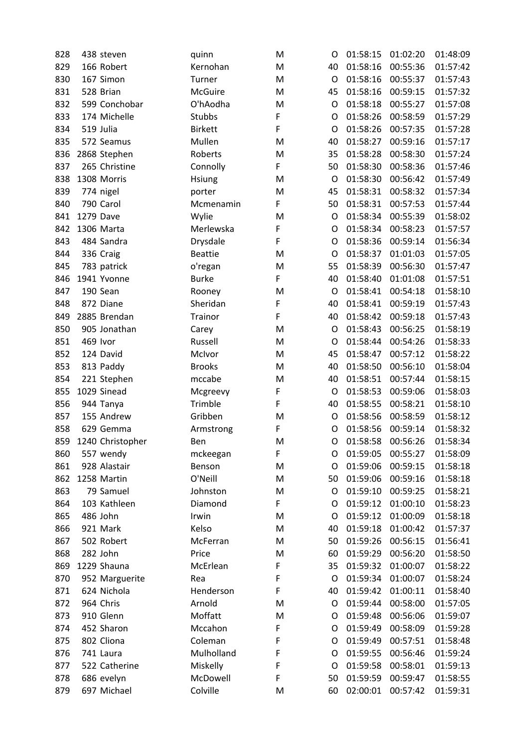| 828 |           | 438 steven       | quinn          | M | O  | 01:58:15 | 01:02:20 | 01:48:09 |
|-----|-----------|------------------|----------------|---|----|----------|----------|----------|
| 829 |           | 166 Robert       | Kernohan       | M | 40 | 01:58:16 | 00:55:36 | 01:57:42 |
| 830 |           | 167 Simon        | Turner         | M | O  | 01:58:16 | 00:55:37 | 01:57:43 |
| 831 |           | 528 Brian        | <b>McGuire</b> | M | 45 | 01:58:16 | 00:59:15 | 01:57:32 |
| 832 |           | 599 Conchobar    | O'hAodha       | M | O  | 01:58:18 | 00:55:27 | 01:57:08 |
| 833 |           | 174 Michelle     | Stubbs         | F | O  | 01:58:26 | 00:58:59 | 01:57:29 |
| 834 |           | 519 Julia        | <b>Birkett</b> | F | O  | 01:58:26 | 00:57:35 | 01:57:28 |
| 835 |           | 572 Seamus       | Mullen         | M | 40 | 01:58:27 | 00:59:16 | 01:57:17 |
| 836 |           | 2868 Stephen     | Roberts        | M | 35 | 01:58:28 | 00:58:30 | 01:57:24 |
| 837 |           | 265 Christine    | Connolly       | F | 50 | 01:58:30 | 00:58:36 | 01:57:46 |
| 838 |           | 1308 Morris      | <b>Hsiung</b>  | M | O  | 01:58:30 | 00:56:42 | 01:57:49 |
| 839 |           | 774 nigel        | porter         | M | 45 | 01:58:31 | 00:58:32 | 01:57:34 |
| 840 |           | 790 Carol        | Mcmenamin      | F | 50 | 01:58:31 | 00:57:53 | 01:57:44 |
| 841 | 1279 Dave |                  | Wylie          | M | O  | 01:58:34 | 00:55:39 | 01:58:02 |
| 842 |           | 1306 Marta       | Merlewska      | F | O  | 01:58:34 | 00:58:23 | 01:57:57 |
| 843 |           | 484 Sandra       | Drysdale       | F | O  | 01:58:36 | 00:59:14 | 01:56:34 |
| 844 |           | 336 Craig        | <b>Beattie</b> | M | O  | 01:58:37 | 01:01:03 | 01:57:05 |
| 845 |           | 783 patrick      | o'regan        | M | 55 | 01:58:39 | 00:56:30 | 01:57:47 |
| 846 |           | 1941 Yvonne      | <b>Burke</b>   | F | 40 | 01:58:40 | 01:01:08 | 01:57:51 |
| 847 |           | 190 Sean         | Rooney         | M | O  | 01:58:41 | 00:54:18 | 01:58:10 |
| 848 |           | 872 Diane        | Sheridan       | F | 40 | 01:58:41 | 00:59:19 | 01:57:43 |
| 849 |           | 2885 Brendan     | <b>Trainor</b> | F | 40 | 01:58:42 | 00:59:18 | 01:57:43 |
| 850 |           | 905 Jonathan     | Carey          | M | O  | 01:58:43 | 00:56:25 | 01:58:19 |
| 851 |           | 469 Ivor         | Russell        | M | O  | 01:58:44 | 00:54:26 | 01:58:33 |
| 852 |           | 124 David        | McIvor         | M | 45 | 01:58:47 | 00:57:12 | 01:58:22 |
| 853 |           | 813 Paddy        | <b>Brooks</b>  | M | 40 | 01:58:50 | 00:56:10 | 01:58:04 |
| 854 |           | 221 Stephen      | mccabe         | M | 40 | 01:58:51 | 00:57:44 | 01:58:15 |
| 855 |           | 1029 Sinead      | Mcgreevy       | F | O  | 01:58:53 | 00:59:06 | 01:58:03 |
| 856 |           | 944 Tanya        | Trimble        | F | 40 | 01:58:55 | 00:58:21 | 01:58:10 |
| 857 |           | 155 Andrew       | Gribben        | M | O  | 01:58:56 | 00:58:59 | 01:58:12 |
| 858 |           | 629 Gemma        | Armstrong      | F | O  | 01:58:56 | 00:59:14 | 01:58:32 |
| 859 |           | 1240 Christopher | Ben            | M | O  | 01:58:58 | 00:56:26 | 01:58:34 |
| 860 |           | 557 wendy        | mckeegan       | F | O  | 01:59:05 | 00:55:27 | 01:58:09 |
| 861 |           | 928 Alastair     | Benson         | M | O  | 01:59:06 | 00:59:15 | 01:58:18 |
| 862 |           | 1258 Martin      | O'Neill        | M | 50 | 01:59:06 | 00:59:16 | 01:58:18 |
| 863 |           | 79 Samuel        | Johnston       | M | O  | 01:59:10 | 00:59:25 | 01:58:21 |
| 864 |           | 103 Kathleen     | Diamond        | F | O  | 01:59:12 | 01:00:10 | 01:58:23 |
| 865 |           | 486 John         | Irwin          | M | O  | 01:59:12 | 01:00:09 | 01:58:18 |
| 866 |           | 921 Mark         | Kelso          | M | 40 | 01:59:18 | 01:00:42 | 01:57:37 |
| 867 |           | 502 Robert       | McFerran       | M | 50 | 01:59:26 | 00:56:15 | 01:56:41 |
| 868 |           | 282 John         | Price          | M | 60 | 01:59:29 | 00:56:20 | 01:58:50 |
| 869 |           | 1229 Shauna      | McErlean       | F | 35 | 01:59:32 | 01:00:07 | 01:58:22 |
| 870 |           | 952 Marguerite   | Rea            | F | O  | 01:59:34 | 01:00:07 | 01:58:24 |
| 871 |           | 624 Nichola      | Henderson      | F | 40 | 01:59:42 | 01:00:11 | 01:58:40 |
| 872 |           | 964 Chris        | Arnold         | M | O  | 01:59:44 | 00:58:00 | 01:57:05 |
| 873 |           | 910 Glenn        | Moffatt        | M | O  | 01:59:48 | 00:56:06 | 01:59:07 |
| 874 |           | 452 Sharon       | Mccahon        | F | O  | 01:59:49 | 00:58:09 | 01:59:28 |
| 875 |           | 802 Cliona       | Coleman        | F | O  | 01:59:49 | 00:57:51 | 01:58:48 |
| 876 |           | 741 Laura        | Mulholland     | F | O  | 01:59:55 | 00:56:46 | 01:59:24 |
| 877 |           | 522 Catherine    | Miskelly       | F | O  | 01:59:58 | 00:58:01 | 01:59:13 |
| 878 |           | 686 evelyn       | McDowell       | F | 50 | 01:59:59 | 00:59:47 | 01:58:55 |
| 879 |           | 697 Michael      | Colville       | M | 60 | 02:00:01 | 00:57:42 | 01:59:31 |
|     |           |                  |                |   |    |          |          |          |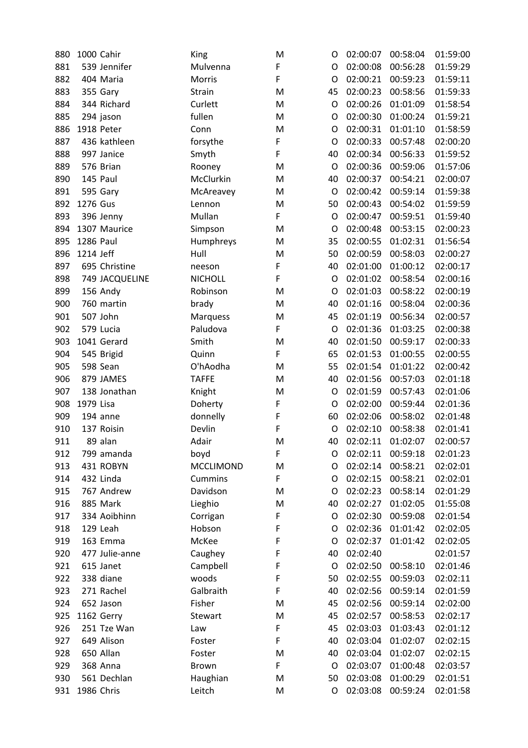| 880 | 1000 Cahir |                | King             | M | O       | 02:00:07 | 00:58:04 | 01:59:00 |
|-----|------------|----------------|------------------|---|---------|----------|----------|----------|
| 881 |            | 539 Jennifer   | Mulvenna         | F | O       | 02:00:08 | 00:56:28 | 01:59:29 |
| 882 |            | 404 Maria      | Morris           | F | O       | 02:00:21 | 00:59:23 | 01:59:11 |
| 883 |            | 355 Gary       | Strain           | M | 45      | 02:00:23 | 00:58:56 | 01:59:33 |
| 884 |            | 344 Richard    | Curlett          | M | O       | 02:00:26 | 01:01:09 | 01:58:54 |
| 885 |            | 294 jason      | fullen           | M | O       | 02:00:30 | 01:00:24 | 01:59:21 |
| 886 | 1918 Peter |                | Conn             | M | O       | 02:00:31 | 01:01:10 | 01:58:59 |
| 887 |            | 436 kathleen   | forsythe         | F | O       | 02:00:33 | 00:57:48 | 02:00:20 |
| 888 |            | 997 Janice     | Smyth            | F | 40      | 02:00:34 | 00:56:33 | 01:59:52 |
| 889 |            | 576 Brian      | Rooney           | M | O       | 02:00:36 | 00:59:06 | 01:57:06 |
| 890 | 145 Paul   |                | McClurkin        | M | 40      | 02:00:37 | 00:54:21 | 02:00:07 |
| 891 |            | 595 Gary       | McAreavey        | M | O       | 02:00:42 | 00:59:14 | 01:59:38 |
| 892 | 1276 Gus   |                | Lennon           | M | 50      | 02:00:43 | 00:54:02 | 01:59:59 |
| 893 |            | 396 Jenny      | Mullan           | F | O       | 02:00:47 | 00:59:51 | 01:59:40 |
| 894 |            | 1307 Maurice   | Simpson          | M | O       | 02:00:48 | 00:53:15 | 02:00:23 |
| 895 | 1286 Paul  |                | Humphreys        | M | 35      | 02:00:55 | 01:02:31 | 01:56:54 |
| 896 | 1214 Jeff  |                | Hull             | M | 50      | 02:00:59 | 00:58:03 | 02:00:27 |
| 897 |            | 695 Christine  | neeson           | F | 40      | 02:01:00 | 01:00:12 | 02:00:17 |
| 898 |            | 749 JACQUELINE | <b>NICHOLL</b>   | F | O       | 02:01:02 | 00:58:54 | 02:00:16 |
| 899 |            | 156 Andy       | Robinson         | M | $\circ$ | 02:01:03 | 00:58:22 | 02:00:19 |
| 900 |            | 760 martin     | brady            | M | 40      | 02:01:16 | 00:58:04 | 02:00:36 |
| 901 |            | 507 John       | Marquess         | M | 45      | 02:01:19 | 00:56:34 | 02:00:57 |
| 902 |            | 579 Lucia      | Paludova         | F | O       | 02:01:36 | 01:03:25 | 02:00:38 |
| 903 |            | 1041 Gerard    | Smith            | M | 40      | 02:01:50 | 00:59:17 | 02:00:33 |
| 904 |            | 545 Brigid     | Quinn            | F | 65      | 02:01:53 | 01:00:55 | 02:00:55 |
| 905 |            | 598 Sean       | O'hAodha         | M | 55      | 02:01:54 | 01:01:22 | 02:00:42 |
| 906 |            | 879 JAMES      | <b>TAFFE</b>     | M | 40      | 02:01:56 | 00:57:03 | 02:01:18 |
| 907 |            | 138 Jonathan   | Knight           | M | O       | 02:01:59 | 00:57:43 | 02:01:06 |
| 908 | 1979 Lisa  |                | Doherty          | F | O       | 02:02:00 | 00:59:44 | 02:01:36 |
| 909 |            | 194 anne       | donnelly         | F | 60      | 02:02:06 | 00:58:02 | 02:01:48 |
| 910 |            | 137 Roisin     | Devlin           | F | O       | 02:02:10 | 00:58:38 | 02:01:41 |
| 911 |            | 89 alan        | Adair            | M | 40      | 02:02:11 | 01:02:07 | 02:00:57 |
| 912 |            | 799 amanda     | boyd             | F | O       | 02:02:11 | 00:59:18 | 02:01:23 |
| 913 |            | 431 ROBYN      | <b>MCCLIMOND</b> | M | O       | 02:02:14 | 00:58:21 | 02:02:01 |
| 914 |            | 432 Linda      | Cummins          | F | O       | 02:02:15 | 00:58:21 | 02:02:01 |
| 915 |            | 767 Andrew     | Davidson         | M | O       | 02:02:23 | 00:58:14 | 02:01:29 |
| 916 |            | 885 Mark       | Lieghio          | M | 40      | 02:02:27 | 01:02:05 | 01:55:08 |
| 917 |            | 334 Aoibhinn   | Corrigan         | F | O       | 02:02:30 | 00:59:08 | 02:01:54 |
| 918 |            | 129 Leah       | Hobson           | F | O       | 02:02:36 | 01:01:42 | 02:02:05 |
| 919 |            | 163 Emma       | McKee            | F | O       | 02:02:37 | 01:01:42 | 02:02:05 |
| 920 |            | 477 Julie-anne | Caughey          | F | 40      | 02:02:40 |          | 02:01:57 |
| 921 |            | 615 Janet      | Campbell         | F | O       | 02:02:50 | 00:58:10 | 02:01:46 |
| 922 |            | 338 diane      | woods            | F | 50      | 02:02:55 | 00:59:03 | 02:02:11 |
| 923 |            | 271 Rachel     | Galbraith        | F | 40      | 02:02:56 | 00:59:14 | 02:01:59 |
| 924 |            | 652 Jason      | Fisher           | M | 45      | 02:02:56 | 00:59:14 | 02:02:00 |
| 925 |            | 1162 Gerry     | Stewart          | M | 45      | 02:02:57 | 00:58:53 | 02:02:17 |
| 926 |            | 251 Tze Wan    | Law              | F | 45      | 02:03:03 | 01:03:43 | 02:01:12 |
| 927 |            | 649 Alison     | Foster           | F | 40      | 02:03:04 | 01:02:07 | 02:02:15 |
| 928 |            | 650 Allan      | Foster           | M | 40      | 02:03:04 | 01:02:07 | 02:02:15 |
| 929 |            | 368 Anna       | Brown            | F | O       | 02:03:07 | 01:00:48 | 02:03:57 |
| 930 |            | 561 Dechlan    | Haughian         | M | 50      | 02:03:08 | 01:00:29 | 02:01:51 |
| 931 | 1986 Chris |                | Leitch           | M | O       | 02:03:08 | 00:59:24 | 02:01:58 |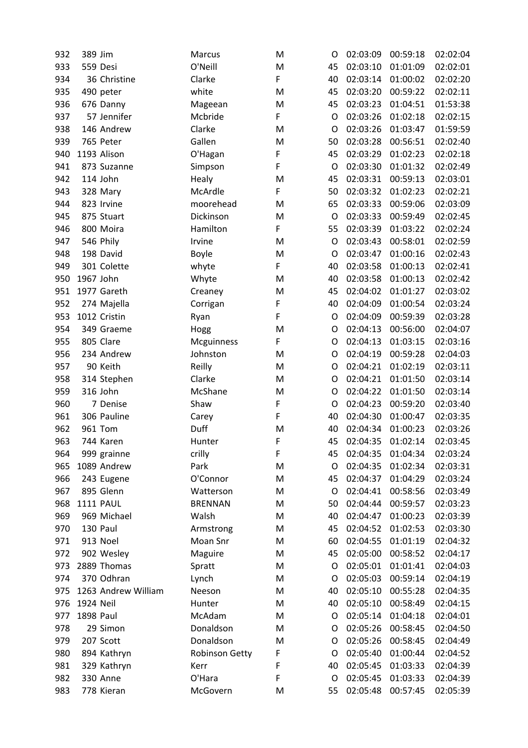| 932 | 389 Jim   |                     | Marcus                | M | O  | 02:03:09 | 00:59:18 | 02:02:04 |
|-----|-----------|---------------------|-----------------------|---|----|----------|----------|----------|
| 933 |           | 559 Desi            | O'Neill               | M | 45 | 02:03:10 | 01:01:09 | 02:02:01 |
| 934 |           | 36 Christine        | Clarke                | F | 40 | 02:03:14 | 01:00:02 | 02:02:20 |
| 935 |           | 490 peter           | white                 | M | 45 | 02:03:20 | 00:59:22 | 02:02:11 |
| 936 |           | 676 Danny           | Mageean               | M | 45 | 02:03:23 | 01:04:51 | 01:53:38 |
| 937 |           | 57 Jennifer         | Mcbride               | F | O  | 02:03:26 | 01:02:18 | 02:02:15 |
| 938 |           | 146 Andrew          | Clarke                | M | O  | 02:03:26 | 01:03:47 | 01:59:59 |
| 939 |           | 765 Peter           | Gallen                | M | 50 | 02:03:28 | 00:56:51 | 02:02:40 |
| 940 |           | 1193 Alison         | O'Hagan               | F | 45 | 02:03:29 | 01:02:23 | 02:02:18 |
| 941 |           | 873 Suzanne         | Simpson               | F | O  | 02:03:30 | 01:01:32 | 02:02:49 |
| 942 |           | 114 John            | Healy                 | M | 45 | 02:03:31 | 00:59:13 | 02:03:01 |
| 943 |           | 328 Mary            | McArdle               | F | 50 | 02:03:32 | 01:02:23 | 02:02:21 |
| 944 |           | 823 Irvine          | moorehead             | M | 65 | 02:03:33 | 00:59:06 | 02:03:09 |
| 945 |           | 875 Stuart          | Dickinson             | M | O  | 02:03:33 | 00:59:49 | 02:02:45 |
| 946 |           | 800 Moira           | Hamilton              | F | 55 | 02:03:39 | 01:03:22 | 02:02:24 |
| 947 |           | 546 Phily           | Irvine                | M | O  | 02:03:43 | 00:58:01 | 02:02:59 |
| 948 |           | 198 David           | <b>Boyle</b>          | M | O  | 02:03:47 | 01:00:16 | 02:02:43 |
| 949 |           | 301 Colette         | whyte                 | F | 40 | 02:03:58 | 01:00:13 | 02:02:41 |
| 950 | 1967 John |                     | Whyte                 | M | 40 | 02:03:58 | 01:00:13 | 02:02:42 |
| 951 |           | 1977 Gareth         | Creaney               | M | 45 | 02:04:02 | 01:01:27 | 02:03:02 |
| 952 |           | 274 Majella         | Corrigan              | F | 40 | 02:04:09 | 01:00:54 | 02:03:24 |
| 953 |           | 1012 Cristin        | Ryan                  | F | O  | 02:04:09 | 00:59:39 | 02:03:28 |
| 954 |           | 349 Graeme          | Hogg                  | M | O  | 02:04:13 | 00:56:00 | 02:04:07 |
| 955 |           | 805 Clare           | Mcguinness            | F | O  | 02:04:13 | 01:03:15 | 02:03:16 |
| 956 |           | 234 Andrew          | Johnston              | M | O  | 02:04:19 | 00:59:28 | 02:04:03 |
| 957 |           | 90 Keith            | Reilly                | M | O  | 02:04:21 | 01:02:19 | 02:03:11 |
| 958 |           | 314 Stephen         | Clarke                | M | O  | 02:04:21 | 01:01:50 | 02:03:14 |
| 959 |           | 316 John            | McShane               | M | O  | 02:04:22 | 01:01:50 | 02:03:14 |
| 960 |           | 7 Denise            | Shaw                  | F | O  | 02:04:23 | 00:59:20 | 02:03:40 |
| 961 |           | 306 Pauline         | Carey                 | F | 40 | 02:04:30 | 01:00:47 | 02:03:35 |
| 962 |           | 961 Tom             | Duff                  | M | 40 | 02:04:34 | 01:00:23 | 02:03:26 |
| 963 |           | 744 Karen           | Hunter                | F | 45 | 02:04:35 | 01:02:14 | 02:03:45 |
| 964 |           | 999 grainne         | crilly                | F | 45 | 02:04:35 | 01:04:34 | 02:03:24 |
| 965 |           | 1089 Andrew         | Park                  | M | O  | 02:04:35 | 01:02:34 | 02:03:31 |
| 966 |           | 243 Eugene          | O'Connor              | M | 45 | 02:04:37 | 01:04:29 | 02:03:24 |
| 967 |           | 895 Glenn           |                       | M | O  | 02:04:41 | 00:58:56 |          |
|     |           | <b>1111 PAUL</b>    | Watterson             |   |    |          |          | 02:03:49 |
| 968 |           |                     | <b>BRENNAN</b>        | M | 50 | 02:04:44 | 00:59:57 | 02:03:23 |
| 969 |           | 969 Michael         | Walsh                 | M | 40 | 02:04:47 | 01:00:23 | 02:03:39 |
| 970 |           | 130 Paul            | Armstrong             | M | 45 | 02:04:52 | 01:02:53 | 02:03:30 |
| 971 |           | 913 Noel            | Moan Snr              | M | 60 | 02:04:55 | 01:01:19 | 02:04:32 |
| 972 |           | 902 Wesley          | Maguire               | M | 45 | 02:05:00 | 00:58:52 | 02:04:17 |
| 973 |           | 2889 Thomas         | Spratt                | M | O  | 02:05:01 | 01:01:41 | 02:04:03 |
| 974 |           | 370 Odhran          | Lynch                 | M | O  | 02:05:03 | 00:59:14 | 02:04:19 |
| 975 |           | 1263 Andrew William | Neeson                | M | 40 | 02:05:10 | 00:55:28 | 02:04:35 |
| 976 | 1924 Neil |                     | Hunter                | M | 40 | 02:05:10 | 00:58:49 | 02:04:15 |
| 977 | 1898 Paul |                     | McAdam                | M | O  | 02:05:14 | 01:04:18 | 02:04:01 |
| 978 |           | 29 Simon            | Donaldson             | M | O  | 02:05:26 | 00:58:45 | 02:04:50 |
| 979 |           | 207 Scott           | Donaldson             | M | O  | 02:05:26 | 00:58:45 | 02:04:49 |
| 980 |           | 894 Kathryn         | <b>Robinson Getty</b> | F | O  | 02:05:40 | 01:00:44 | 02:04:52 |
| 981 |           | 329 Kathryn         | Kerr                  | F | 40 | 02:05:45 | 01:03:33 | 02:04:39 |
| 982 |           | 330 Anne            | O'Hara                | F | O  | 02:05:45 | 01:03:33 | 02:04:39 |
| 983 |           | 778 Kieran          | McGovern              | M | 55 | 02:05:48 | 00:57:45 | 02:05:39 |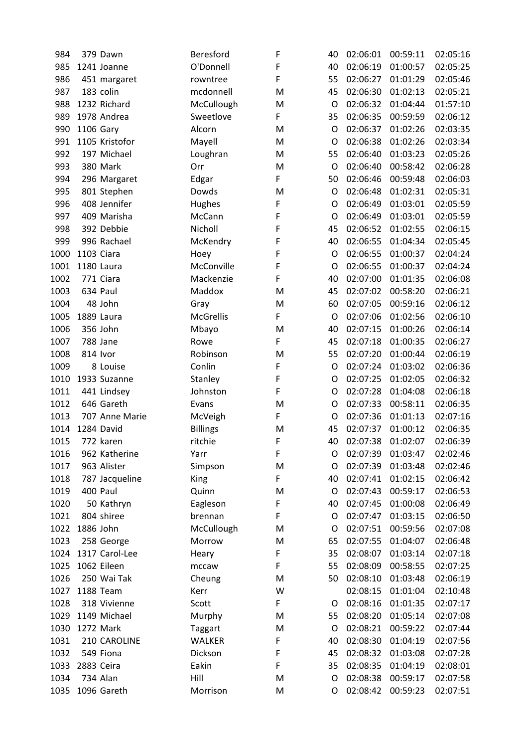| 984  |            | 379 Dawn       | Beresford        | F | 40 | 02:06:01 | 00:59:11 | 02:05:16 |
|------|------------|----------------|------------------|---|----|----------|----------|----------|
| 985  |            | 1241 Joanne    | O'Donnell        | F | 40 | 02:06:19 | 01:00:57 | 02:05:25 |
| 986  |            | 451 margaret   | rowntree         | F | 55 | 02:06:27 | 01:01:29 | 02:05:46 |
| 987  |            | 183 colin      | mcdonnell        | M | 45 | 02:06:30 | 01:02:13 | 02:05:21 |
| 988  |            | 1232 Richard   | McCullough       | M | O  | 02:06:32 | 01:04:44 | 01:57:10 |
| 989  |            | 1978 Andrea    | Sweetlove        | F | 35 | 02:06:35 | 00:59:59 | 02:06:12 |
| 990  | 1106 Gary  |                | Alcorn           | M | O  | 02:06:37 | 01:02:26 | 02:03:35 |
| 991  |            | 1105 Kristofor | Mayell           | M | O  | 02:06:38 | 01:02:26 | 02:03:34 |
| 992  |            | 197 Michael    | Loughran         | M | 55 | 02:06:40 | 01:03:23 | 02:05:26 |
| 993  |            | 380 Mark       | Orr              | M | O  | 02:06:40 | 00:58:42 | 02:06:28 |
| 994  |            | 296 Margaret   | Edgar            | F | 50 | 02:06:46 | 00:59:48 | 02:06:03 |
| 995  |            | 801 Stephen    | Dowds            | M | O  | 02:06:48 | 01:02:31 | 02:05:31 |
| 996  |            | 408 Jennifer   | Hughes           | F | O  | 02:06:49 | 01:03:01 | 02:05:59 |
| 997  |            | 409 Marisha    | McCann           | F | O  | 02:06:49 | 01:03:01 | 02:05:59 |
| 998  |            | 392 Debbie     | Nicholl          | F | 45 | 02:06:52 | 01:02:55 | 02:06:15 |
| 999  |            | 996 Rachael    | McKendry         | F | 40 | 02:06:55 | 01:04:34 | 02:05:45 |
| 1000 | 1103 Ciara |                | Hoey             | F | O  | 02:06:55 | 01:00:37 | 02:04:24 |
| 1001 |            | 1180 Laura     | McConville       | F | O  | 02:06:55 | 01:00:37 | 02:04:24 |
| 1002 |            | 771 Ciara      | Mackenzie        | F | 40 | 02:07:00 | 01:01:35 | 02:06:08 |
| 1003 |            | 634 Paul       | Maddox           | M | 45 | 02:07:02 | 00:58:20 | 02:06:21 |
| 1004 |            | 48 John        | Gray             | M | 60 | 02:07:05 | 00:59:16 | 02:06:12 |
| 1005 |            | 1889 Laura     | <b>McGrellis</b> | F | O  | 02:07:06 | 01:02:56 | 02:06:10 |
| 1006 |            | 356 John       | Mbayo            | M | 40 | 02:07:15 | 01:00:26 | 02:06:14 |
| 1007 |            | 788 Jane       | Rowe             | F | 45 | 02:07:18 | 01:00:35 | 02:06:27 |
| 1008 | 814 Ivor   |                | Robinson         | M | 55 | 02:07:20 | 01:00:44 | 02:06:19 |
| 1009 |            | 8 Louise       | Conlin           | F | O  | 02:07:24 | 01:03:02 | 02:06:36 |
| 1010 |            | 1933 Suzanne   | Stanley          | F | O  | 02:07:25 | 01:02:05 | 02:06:32 |
| 1011 |            | 441 Lindsey    | Johnston         | F | O  | 02:07:28 | 01:04:08 | 02:06:18 |
| 1012 |            | 646 Gareth     | Evans            | M | O  | 02:07:33 | 00:58:11 | 02:06:35 |
| 1013 |            | 707 Anne Marie | McVeigh          | F | O  | 02:07:36 | 01:01:13 | 02:07:16 |
| 1014 |            | 1284 David     | <b>Billings</b>  | M | 45 | 02:07:37 | 01:00:12 | 02:06:35 |
| 1015 |            | 772 karen      | ritchie          | F | 40 | 02:07:38 | 01:02:07 | 02:06:39 |
| 1016 |            | 962 Katherine  | Yarr             | F | O  | 02:07:39 | 01:03:47 | 02:02:46 |
| 1017 |            | 963 Alister    | Simpson          | M | O  | 02:07:39 | 01:03:48 | 02:02:46 |
| 1018 |            | 787 Jacqueline | King             | F | 40 | 02:07:41 | 01:02:15 | 02:06:42 |
| 1019 |            | 400 Paul       | Quinn            | M | O  | 02:07:43 | 00:59:17 | 02:06:53 |
| 1020 |            | 50 Kathryn     | Eagleson         | F | 40 | 02:07:45 | 01:00:08 | 02:06:49 |
| 1021 |            | 804 shiree     | brennan          | F | O  | 02:07:47 | 01:03:15 | 02:06:50 |
| 1022 | 1886 John  |                | McCullough       | M | O  | 02:07:51 | 00:59:56 | 02:07:08 |
| 1023 |            | 258 George     | Morrow           | M | 65 | 02:07:55 | 01:04:07 | 02:06:48 |
| 1024 |            | 1317 Carol-Lee | Heary            | F | 35 | 02:08:07 | 01:03:14 | 02:07:18 |
| 1025 |            | 1062 Eileen    | mccaw            | F | 55 | 02:08:09 | 00:58:55 | 02:07:25 |
| 1026 |            | 250 Wai Tak    | Cheung           | M | 50 | 02:08:10 | 01:03:48 | 02:06:19 |
| 1027 |            | 1188 Team      | Kerr             | W |    | 02:08:15 | 01:01:04 | 02:10:48 |
| 1028 |            | 318 Vivienne   | Scott            | F | O  | 02:08:16 | 01:01:35 | 02:07:17 |
| 1029 |            | 1149 Michael   | Murphy           | M | 55 | 02:08:20 | 01:05:14 | 02:07:08 |
| 1030 |            | 1272 Mark      | <b>Taggart</b>   | M | O  | 02:08:21 | 00:59:22 | 02:07:44 |
| 1031 |            | 210 CAROLINE   | <b>WALKER</b>    | F | 40 | 02:08:30 | 01:04:19 | 02:07:56 |
| 1032 |            | 549 Fiona      | Dickson          | F | 45 | 02:08:32 | 01:03:08 | 02:07:28 |
| 1033 | 2883 Ceira |                | Eakin            | F | 35 | 02:08:35 | 01:04:19 | 02:08:01 |
| 1034 |            | 734 Alan       | Hill             | M | O  | 02:08:38 | 00:59:17 | 02:07:58 |
| 1035 |            | 1096 Gareth    | Morrison         | M | O  | 02:08:42 | 00:59:23 | 02:07:51 |
|      |            |                |                  |   |    |          |          |          |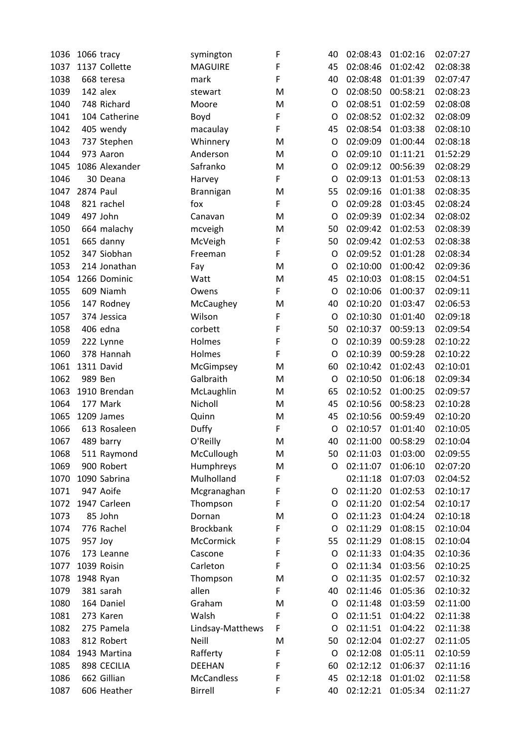| 1036 |           | 1066 tracy     | symington         | F | 40      | 02:08:43 | 01:02:16 | 02:07:27 |
|------|-----------|----------------|-------------------|---|---------|----------|----------|----------|
| 1037 |           | 1137 Collette  | <b>MAGUIRE</b>    | F | 45      | 02:08:46 | 01:02:42 | 02:08:38 |
| 1038 |           | 668 teresa     | mark              | F | 40      | 02:08:48 | 01:01:39 | 02:07:47 |
| 1039 |           | 142 alex       | stewart           | M | O       | 02:08:50 | 00:58:21 | 02:08:23 |
| 1040 |           | 748 Richard    | Moore             | M | O       | 02:08:51 | 01:02:59 | 02:08:08 |
| 1041 |           | 104 Catherine  | Boyd              | F | O       | 02:08:52 | 01:02:32 | 02:08:09 |
| 1042 |           | 405 wendy      | macaulay          | F | 45      | 02:08:54 | 01:03:38 | 02:08:10 |
| 1043 |           | 737 Stephen    | Whinnery          | M | $\circ$ | 02:09:09 | 01:00:44 | 02:08:18 |
| 1044 |           | 973 Aaron      | Anderson          | M | O       | 02:09:10 | 01:11:21 | 01:52:29 |
| 1045 |           | 1086 Alexander | Safranko          | M | O       | 02:09:12 | 00:56:39 | 02:08:29 |
| 1046 |           | 30 Deana       | Harvey            | F | O       | 02:09:13 | 01:01:53 | 02:08:13 |
| 1047 | 2874 Paul |                | Brannigan         | M | 55      | 02:09:16 | 01:01:38 | 02:08:35 |
| 1048 |           | 821 rachel     | fox               | F | O       | 02:09:28 | 01:03:45 | 02:08:24 |
| 1049 |           | 497 John       | Canavan           | M | O       | 02:09:39 | 01:02:34 | 02:08:02 |
| 1050 |           | 664 malachy    | mcveigh           | M | 50      | 02:09:42 | 01:02:53 | 02:08:39 |
| 1051 |           | 665 danny      | McVeigh           | F | 50      | 02:09:42 | 01:02:53 | 02:08:38 |
| 1052 |           | 347 Siobhan    | Freeman           | F | O       | 02:09:52 | 01:01:28 | 02:08:34 |
| 1053 |           | 214 Jonathan   | Fay               | M | O       | 02:10:00 | 01:00:42 | 02:09:36 |
| 1054 |           | 1266 Dominic   | Watt              | M | 45      | 02:10:03 | 01:08:15 | 02:04:51 |
| 1055 |           | 609 Niamh      | Owens             | F | $\circ$ | 02:10:06 | 01:00:37 | 02:09:11 |
| 1056 |           | 147 Rodney     | McCaughey         | M | 40      | 02:10:20 | 01:03:47 | 02:06:53 |
| 1057 |           | 374 Jessica    | Wilson            | F | O       | 02:10:30 | 01:01:40 | 02:09:18 |
| 1058 |           | 406 edna       | corbett           | F | 50      | 02:10:37 | 00:59:13 | 02:09:54 |
| 1059 |           | 222 Lynne      | Holmes            | F | O       | 02:10:39 | 00:59:28 | 02:10:22 |
| 1060 |           | 378 Hannah     | Holmes            | F | O       | 02:10:39 | 00:59:28 | 02:10:22 |
| 1061 |           | 1311 David     | McGimpsey         | M | 60      | 02:10:42 | 01:02:43 | 02:10:01 |
| 1062 |           | 989 Ben        | Galbraith         | M | O       | 02:10:50 | 01:06:18 | 02:09:34 |
| 1063 |           | 1910 Brendan   | McLaughlin        | M | 65      | 02:10:52 | 01:00:25 | 02:09:57 |
| 1064 |           | 177 Mark       | Nicholl           | M | 45      | 02:10:56 | 00:58:23 | 02:10:28 |
| 1065 |           | 1209 James     | Quinn             | M | 45      | 02:10:56 | 00:59:49 | 02:10:20 |
| 1066 |           | 613 Rosaleen   | Duffy             | F | O       | 02:10:57 | 01:01:40 | 02:10:05 |
| 1067 |           | 489 barry      | O'Reilly          | M | 40      | 02:11:00 | 00:58:29 | 02:10:04 |
| 1068 |           | 511 Raymond    | McCullough        | M | 50      | 02:11:03 | 01:03:00 | 02:09:55 |
| 1069 |           | 900 Robert     | Humphreys         | M | O       | 02:11:07 | 01:06:10 | 02:07:20 |
| 1070 |           | 1090 Sabrina   | Mulholland        | F |         | 02:11:18 | 01:07:03 | 02:04:52 |
| 1071 |           | 947 Aoife      | Mcgranaghan       | F | O       | 02:11:20 | 01:02:53 | 02:10:17 |
| 1072 |           | 1947 Carleen   | Thompson          | F | O       | 02:11:20 | 01:02:54 | 02:10:17 |
| 1073 |           | 85 John        | Dornan            | M | O       | 02:11:23 | 01:04:24 | 02:10:18 |
| 1074 |           | 776 Rachel     | <b>Brockbank</b>  | F | O       | 02:11:29 | 01:08:15 | 02:10:04 |
| 1075 | 957 Joy   |                | McCormick         | F | 55      | 02:11:29 | 01:08:15 | 02:10:04 |
| 1076 |           | 173 Leanne     | Cascone           | F | O       | 02:11:33 | 01:04:35 | 02:10:36 |
| 1077 |           | 1039 Roisin    | Carleton          | F | O       | 02:11:34 | 01:03:56 | 02:10:25 |
| 1078 |           | 1948 Ryan      | Thompson          | M | O       | 02:11:35 | 01:02:57 | 02:10:32 |
| 1079 |           | 381 sarah      | allen             | F | 40      | 02:11:46 | 01:05:36 | 02:10:32 |
| 1080 |           | 164 Daniel     | Graham            | M | O       | 02:11:48 | 01:03:59 | 02:11:00 |
| 1081 |           | 273 Karen      | Walsh             | F | O       | 02:11:51 | 01:04:22 | 02:11:38 |
| 1082 |           | 275 Pamela     | Lindsay-Matthews  | F | O       | 02:11:51 | 01:04:22 | 02:11:38 |
| 1083 |           | 812 Robert     | Neill             | M | 50      | 02:12:04 | 01:02:27 | 02:11:05 |
| 1084 |           | 1943 Martina   | Rafferty          | F | O       | 02:12:08 | 01:05:11 | 02:10:59 |
| 1085 |           | 898 CECILIA    | <b>DEEHAN</b>     | F | 60      | 02:12:12 | 01:06:37 | 02:11:16 |
| 1086 |           | 662 Gillian    | <b>McCandless</b> | F | 45      | 02:12:18 | 01:01:02 | 02:11:58 |
| 1087 |           | 606 Heather    | <b>Birrell</b>    | F | 40      | 02:12:21 | 01:05:34 | 02:11:27 |
|      |           |                |                   |   |         |          |          |          |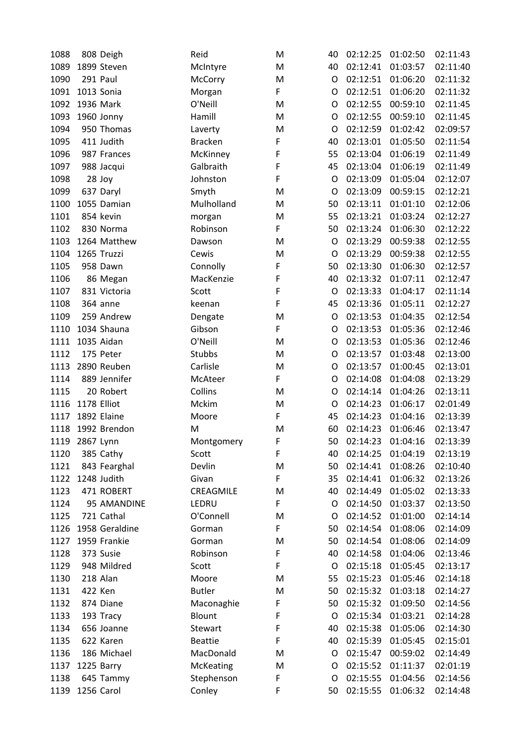| 1088 |           | 808 Deigh      | Reid           | M | 40      | 02:12:25 | 01:02:50 | 02:11:43 |
|------|-----------|----------------|----------------|---|---------|----------|----------|----------|
| 1089 |           | 1899 Steven    | McIntyre       | M | 40      | 02:12:41 | 01:03:57 | 02:11:40 |
| 1090 |           | 291 Paul       | McCorry        | M | O       | 02:12:51 | 01:06:20 | 02:11:32 |
| 1091 |           | 1013 Sonia     | Morgan         | F | O       | 02:12:51 | 01:06:20 | 02:11:32 |
| 1092 |           | 1936 Mark      | O'Neill        | M | O       | 02:12:55 | 00:59:10 | 02:11:45 |
| 1093 |           | 1960 Jonny     | Hamill         | M | O       | 02:12:55 | 00:59:10 | 02:11:45 |
| 1094 |           | 950 Thomas     | Laverty        | M | O       | 02:12:59 | 01:02:42 | 02:09:57 |
| 1095 |           | 411 Judith     | <b>Bracken</b> | F | 40      | 02:13:01 | 01:05:50 | 02:11:54 |
| 1096 |           | 987 Frances    | McKinney       | F | 55      | 02:13:04 | 01:06:19 | 02:11:49 |
| 1097 |           | 988 Jacqui     | Galbraith      | F | 45      | 02:13:04 | 01:06:19 | 02:11:49 |
| 1098 |           | 28 Joy         | Johnston       | F | O       | 02:13:09 | 01:05:04 | 02:12:07 |
| 1099 |           | 637 Daryl      | Smyth          | M | O       | 02:13:09 | 00:59:15 | 02:12:21 |
| 1100 |           | 1055 Damian    | Mulholland     | M | 50      | 02:13:11 | 01:01:10 | 02:12:06 |
| 1101 |           | 854 kevin      | morgan         | M | 55      | 02:13:21 | 01:03:24 | 02:12:27 |
| 1102 |           | 830 Norma      | Robinson       | F | 50      | 02:13:24 | 01:06:30 | 02:12:22 |
| 1103 |           | 1264 Matthew   | Dawson         | M | O       | 02:13:29 | 00:59:38 | 02:12:55 |
| 1104 |           | 1265 Truzzi    | Cewis          | M | O       | 02:13:29 | 00:59:38 | 02:12:55 |
| 1105 |           | 958 Dawn       | Connolly       | F | 50      | 02:13:30 | 01:06:30 | 02:12:57 |
| 1106 |           | 86 Megan       | MacKenzie      | F | 40      | 02:13:32 | 01:07:11 | 02:12:47 |
| 1107 |           | 831 Victoria   | Scott          | F | $\circ$ | 02:13:33 | 01:04:17 | 02:11:14 |
| 1108 |           | 364 anne       | keenan         | F | 45      | 02:13:36 | 01:05:11 | 02:12:27 |
| 1109 |           | 259 Andrew     | Dengate        | M | O       | 02:13:53 | 01:04:35 | 02:12:54 |
| 1110 |           | 1034 Shauna    | Gibson         | F | O       | 02:13:53 | 01:05:36 | 02:12:46 |
| 1111 |           | 1035 Aidan     | O'Neill        | M | O       | 02:13:53 | 01:05:36 | 02:12:46 |
| 1112 |           | 175 Peter      | <b>Stubbs</b>  | M | O       | 02:13:57 | 01:03:48 | 02:13:00 |
| 1113 |           | 2890 Reuben    | Carlisle       | M | O       | 02:13:57 | 01:00:45 | 02:13:01 |
| 1114 |           | 889 Jennifer   | McAteer        | F | O       | 02:14:08 | 01:04:08 | 02:13:29 |
| 1115 |           | 20 Robert      | Collins        | M | O       | 02:14:14 | 01:04:26 | 02:13:11 |
| 1116 |           | 1178 Elliot    | Mckim          | M | O       | 02:14:23 | 01:06:17 | 02:01:49 |
| 1117 |           | 1892 Elaine    | Moore          | F | 45      | 02:14:23 | 01:04:16 | 02:13:39 |
| 1118 |           | 1992 Brendon   | M              | M | 60      | 02:14:23 | 01:06:46 | 02:13:47 |
| 1119 | 2867 Lynn |                | Montgomery     | F | 50      | 02:14:23 | 01:04:16 | 02:13:39 |
| 1120 |           | 385 Cathy      | Scott          | F | 40      | 02:14:25 | 01:04:19 | 02:13:19 |
| 1121 |           | 843 Fearghal   | Devlin         | M | 50      | 02:14:41 | 01:08:26 | 02:10:40 |
| 1122 |           | 1248 Judith    | Givan          | F | 35      | 02:14:41 | 01:06:32 | 02:13:26 |
| 1123 |           | 471 ROBERT     | CREAGMILE      | M | 40      | 02:14:49 | 01:05:02 | 02:13:33 |
| 1124 |           | 95 AMANDINE    | LEDRU          | F | O       | 02:14:50 | 01:03:37 | 02:13:50 |
| 1125 |           | 721 Cathal     | O'Connell      | M | O       | 02:14:52 | 01:01:00 | 02:14:14 |
| 1126 |           | 1958 Geraldine | Gorman         | F | 50      | 02:14:54 | 01:08:06 | 02:14:09 |
| 1127 |           | 1959 Frankie   | Gorman         | M | 50      | 02:14:54 | 01:08:06 | 02:14:09 |
| 1128 |           | 373 Susie      | Robinson       | F | 40      | 02:14:58 | 01:04:06 | 02:13:46 |
| 1129 |           | 948 Mildred    | Scott          | F | O       | 02:15:18 | 01:05:45 | 02:13:17 |
| 1130 |           | 218 Alan       | Moore          | M | 55      | 02:15:23 | 01:05:46 | 02:14:18 |
| 1131 |           | 422 Ken        | <b>Butler</b>  | M | 50      | 02:15:32 | 01:03:18 | 02:14:27 |
| 1132 |           | 874 Diane      | Maconaghie     | F | 50      | 02:15:32 | 01:09:50 | 02:14:56 |
| 1133 |           | 193 Tracy      | Blount         | F | O       | 02:15:34 | 01:03:21 | 02:14:28 |
| 1134 |           | 656 Joanne     | Stewart        | F | 40      | 02:15:38 | 01:05:06 | 02:14:30 |
| 1135 |           | 622 Karen      | <b>Beattie</b> | F | 40      | 02:15:39 | 01:05:45 | 02:15:01 |
| 1136 |           | 186 Michael    | MacDonald      | M | O       | 02:15:47 | 00:59:02 | 02:14:49 |
| 1137 |           | 1225 Barry     | McKeating      | M | O       | 02:15:52 | 01:11:37 | 02:01:19 |
| 1138 |           | 645 Tammy      | Stephenson     | F | O       | 02:15:55 | 01:04:56 | 02:14:56 |
| 1139 |           | 1256 Carol     | Conley         | F | 50      | 02:15:55 | 01:06:32 | 02:14:48 |
|      |           |                |                |   |         |          |          |          |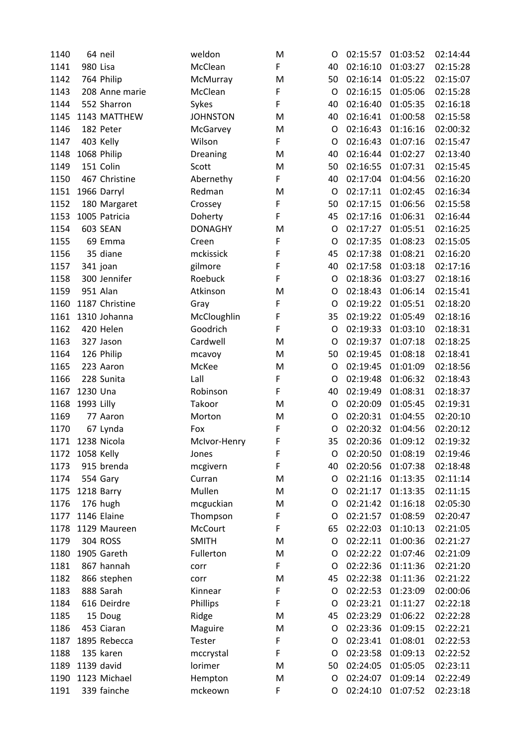| 1140 |            | 64 neil         | weldon             | M | O  | 02:15:57 | 01:03:52 | 02:14:44 |
|------|------------|-----------------|--------------------|---|----|----------|----------|----------|
| 1141 | 980 Lisa   |                 | McClean            | F | 40 | 02:16:10 | 01:03:27 | 02:15:28 |
| 1142 |            | 764 Philip      | McMurray           | M | 50 | 02:16:14 | 01:05:22 | 02:15:07 |
| 1143 |            | 208 Anne marie  | McClean            | F | O  | 02:16:15 | 01:05:06 | 02:15:28 |
| 1144 |            | 552 Sharron     | Sykes              | F | 40 | 02:16:40 | 01:05:35 | 02:16:18 |
| 1145 |            | 1143 MATTHEW    | <b>JOHNSTON</b>    | M | 40 | 02:16:41 | 01:00:58 | 02:15:58 |
| 1146 |            | 182 Peter       | McGarvey           | M | O  | 02:16:43 | 01:16:16 | 02:00:32 |
| 1147 |            | 403 Kelly       | Wilson             | F | O  | 02:16:43 | 01:07:16 | 02:15:47 |
| 1148 |            | 1068 Philip     | Dreaning           | M | 40 | 02:16:44 | 01:02:27 | 02:13:40 |
| 1149 |            | 151 Colin       | Scott              | M | 50 | 02:16:55 | 01:07:31 | 02:15:45 |
| 1150 |            | 467 Christine   | Abernethy          | F | 40 | 02:17:04 | 01:04:56 | 02:16:20 |
| 1151 |            | 1966 Darryl     | Redman             | M | O  | 02:17:11 | 01:02:45 | 02:16:34 |
| 1152 |            | 180 Margaret    | Crossey            | F | 50 | 02:17:15 | 01:06:56 | 02:15:58 |
| 1153 |            | 1005 Patricia   | Doherty            | F | 45 | 02:17:16 | 01:06:31 | 02:16:44 |
| 1154 |            | <b>603 SEAN</b> | <b>DONAGHY</b>     | M | O  | 02:17:27 | 01:05:51 | 02:16:25 |
| 1155 |            | 69 Emma         | Creen              | F | O  | 02:17:35 | 01:08:23 | 02:15:05 |
| 1156 |            | 35 diane        | mckissick          | F | 45 | 02:17:38 | 01:08:21 | 02:16:20 |
| 1157 |            | 341 joan        | gilmore            | F | 40 | 02:17:58 | 01:03:18 | 02:17:16 |
| 1158 |            | 300 Jennifer    | Roebuck            | F | O  | 02:18:36 | 01:03:27 | 02:18:16 |
| 1159 |            | 951 Alan        | Atkinson           | M | O  | 02:18:43 | 01:06:14 | 02:15:41 |
| 1160 |            | 1187 Christine  | Gray               | F | O  | 02:19:22 | 01:05:51 | 02:18:20 |
| 1161 |            | 1310 Johanna    | McCloughlin        | F | 35 | 02:19:22 | 01:05:49 | 02:18:16 |
| 1162 |            | 420 Helen       | Goodrich           | F | O  | 02:19:33 | 01:03:10 | 02:18:31 |
| 1163 |            | 327 Jason       | Cardwell           | M | O  | 02:19:37 | 01:07:18 | 02:18:25 |
| 1164 |            | 126 Philip      | mcavoy             | M | 50 | 02:19:45 | 01:08:18 | 02:18:41 |
| 1165 |            | 223 Aaron       | McKee              | M | O  | 02:19:45 | 01:01:09 | 02:18:56 |
| 1166 |            | 228 Sunita      | Lall               | F | O  | 02:19:48 | 01:06:32 | 02:18:43 |
| 1167 | 1230 Una   |                 | Robinson           | F | 40 | 02:19:49 | 01:08:31 | 02:18:37 |
| 1168 | 1993 Lilly |                 | Takoor             | M | O  | 02:20:09 | 01:05:45 | 02:19:31 |
| 1169 |            | 77 Aaron        | Morton             | M | O  | 02:20:31 | 01:04:55 | 02:20:10 |
| 1170 |            | 67 Lynda        | Fox                | F | O  | 02:20:32 | 01:04:56 | 02:20:12 |
| 1171 |            | 1238 Nicola     | McIvor-Henry       | F | 35 | 02:20:36 | 01:09:12 | 02:19:32 |
| 1172 | 1058 Kelly |                 | Jones              | F | O  | 02:20:50 | 01:08:19 | 02:19:46 |
| 1173 |            | 915 brenda      | mcgivern           | F | 40 | 02:20:56 | 01:07:38 | 02:18:48 |
| 1174 |            | 554 Gary        | Curran             | M | O  | 02:21:16 | 01:13:35 | 02:11:14 |
| 1175 |            | 1218 Barry      | Mullen             | M | O  | 02:21:17 | 01:13:35 | 02:11:15 |
| 1176 |            | 176 hugh        | mcguckian          | M | O  | 02:21:42 | 01:16:18 | 02:05:30 |
| 1177 |            | 1146 Elaine     | Thompson           | F | O  | 02:21:57 | 01:08:59 | 02:20:47 |
| 1178 |            | 1129 Maureen    | McCourt            | F | 65 | 02:22:03 | 01:10:13 | 02:21:05 |
| 1179 |            | 304 ROSS        | <b>SMITH</b>       | M | O  | 02:22:11 | 01:00:36 | 02:21:27 |
| 1180 |            | 1905 Gareth     | Fullerton          | M | O  | 02:22:22 | 01:07:46 | 02:21:09 |
| 1181 |            | 867 hannah      | corr               | F | O  | 02:22:36 | 01:11:36 | 02:21:20 |
| 1182 |            | 866 stephen     | corr               | M | 45 | 02:22:38 | 01:11:36 | 02:21:22 |
| 1183 |            | 888 Sarah       | Kinnear            | F | O  | 02:22:53 | 01:23:09 | 02:00:06 |
| 1184 |            | 616 Deirdre     | Phillips           | F | O  | 02:23:21 | 01:11:27 | 02:22:18 |
| 1185 |            | 15 Doug         | Ridge              | M | 45 | 02:23:29 | 01:06:22 | 02:22:28 |
| 1186 |            | 453 Ciaran      | Maguire            | M | O  | 02:23:36 | 01:09:15 | 02:22:21 |
| 1187 |            | 1895 Rebecca    | Tester             | F | O  | 02:23:41 | 01:08:01 | 02:22:53 |
| 1188 |            | 135 karen       | mccrystal          | F | O  | 02:23:58 | 01:09:13 | 02:22:52 |
| 1189 |            | 1139 david      | lorimer            | M | 50 | 02:24:05 | 01:05:05 | 02:23:11 |
| 1190 |            | 1123 Michael    |                    | M | O  | 02:24:07 | 01:09:14 | 02:22:49 |
| 1191 |            | 339 fainche     | Hempton<br>mckeown | F | O  | 02:24:10 | 01:07:52 | 02:23:18 |
|      |            |                 |                    |   |    |          |          |          |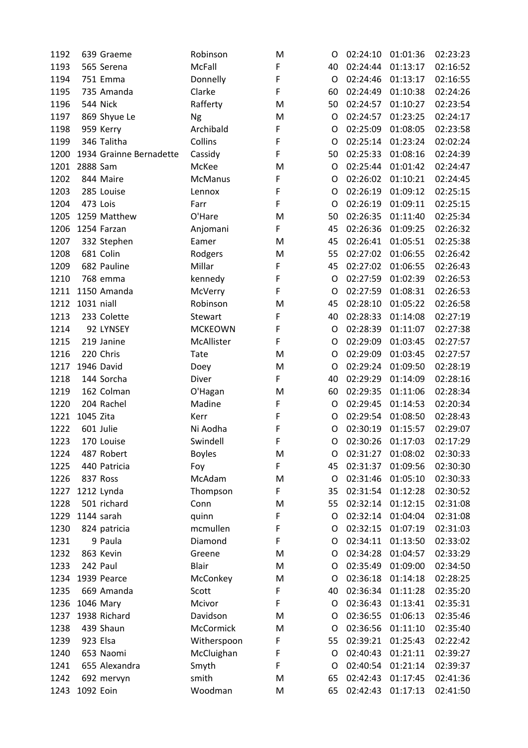| 1192 |            | 639 Graeme              | Robinson       | M | O       | 02:24:10 | 01:01:36 | 02:23:23 |
|------|------------|-------------------------|----------------|---|---------|----------|----------|----------|
| 1193 |            | 565 Serena              | McFall         | F | 40      | 02:24:44 | 01:13:17 | 02:16:52 |
| 1194 |            | 751 Emma                | Donnelly       | F | O       | 02:24:46 | 01:13:17 | 02:16:55 |
| 1195 |            | 735 Amanda              | Clarke         | F | 60      | 02:24:49 | 01:10:38 | 02:24:26 |
| 1196 |            | 544 Nick                | Rafferty       | M | 50      | 02:24:57 | 01:10:27 | 02:23:54 |
| 1197 |            | 869 Shyue Le            | Ng             | M | O       | 02:24:57 | 01:23:25 | 02:24:17 |
| 1198 |            | 959 Kerry               | Archibald      | F | O       | 02:25:09 | 01:08:05 | 02:23:58 |
| 1199 |            | 346 Talitha             | Collins        | F | O       | 02:25:14 | 01:23:24 | 02:02:24 |
| 1200 |            | 1934 Grainne Bernadette | Cassidy        | F | 50      | 02:25:33 | 01:08:16 | 02:24:39 |
| 1201 | 2888 Sam   |                         | McKee          | M | O       | 02:25:44 | 01:01:42 | 02:24:47 |
| 1202 |            | 844 Maire               | <b>McManus</b> | F | O       | 02:26:02 | 01:10:21 | 02:24:45 |
| 1203 |            | 285 Louise              | Lennox         | F | O       | 02:26:19 | 01:09:12 | 02:25:15 |
| 1204 |            | 473 Lois                | Farr           | F | O       | 02:26:19 | 01:09:11 | 02:25:15 |
| 1205 |            | 1259 Matthew            | O'Hare         | M | 50      | 02:26:35 | 01:11:40 | 02:25:34 |
| 1206 |            | 1254 Farzan             | Anjomani       | F | 45      | 02:26:36 | 01:09:25 | 02:26:32 |
| 1207 |            | 332 Stephen             | Eamer          | M | 45      | 02:26:41 | 01:05:51 | 02:25:38 |
| 1208 |            | 681 Colin               | Rodgers        | M | 55      | 02:27:02 | 01:06:55 | 02:26:42 |
| 1209 |            | 682 Pauline             | Millar         | F | 45      | 02:27:02 | 01:06:55 | 02:26:43 |
| 1210 |            | 768 emma                | kennedy        | F | O       | 02:27:59 | 01:02:39 | 02:26:53 |
| 1211 |            | 1150 Amanda             | McVerry        | F | $\circ$ | 02:27:59 | 01:08:31 | 02:26:53 |
| 1212 | 1031 niall |                         | Robinson       | M | 45      | 02:28:10 | 01:05:22 | 02:26:58 |
| 1213 |            | 233 Colette             | Stewart        | F | 40      | 02:28:33 | 01:14:08 | 02:27:19 |
| 1214 |            | 92 LYNSEY               | <b>MCKEOWN</b> | F | O       | 02:28:39 | 01:11:07 | 02:27:38 |
| 1215 |            | 219 Janine              | McAllister     | F | O       | 02:29:09 | 01:03:45 | 02:27:57 |
| 1216 |            | 220 Chris               | Tate           | M | O       | 02:29:09 | 01:03:45 | 02:27:57 |
| 1217 |            | 1946 David              | Doey           | M | O       | 02:29:24 | 01:09:50 | 02:28:19 |
| 1218 |            | 144 Sorcha              | Diver          | F | 40      | 02:29:29 | 01:14:09 | 02:28:16 |
| 1219 |            | 162 Colman              | O'Hagan        | M | 60      | 02:29:35 | 01:11:06 | 02:28:34 |
| 1220 |            | 204 Rachel              | Madine         | F | O       | 02:29:45 | 01:14:53 | 02:20:34 |
| 1221 | 1045 Zita  |                         | Kerr           | F | O       | 02:29:54 | 01:08:50 | 02:28:43 |
| 1222 |            | 601 Julie               | Ni Aodha       | F | O       | 02:30:19 | 01:15:57 | 02:29:07 |
| 1223 |            | 170 Louise              | Swindell       | F | O       | 02:30:26 | 01:17:03 | 02:17:29 |
| 1224 |            | 487 Robert              | <b>Boyles</b>  | M | O       | 02:31:27 | 01:08:02 | 02:30:33 |
| 1225 |            | 440 Patricia            | Foy            | F | 45      | 02:31:37 | 01:09:56 | 02:30:30 |
| 1226 |            | 837 Ross                | McAdam         | M | O       | 02:31:46 | 01:05:10 | 02:30:33 |
| 1227 |            | 1212 Lynda              | Thompson       | F | 35      | 02:31:54 | 01:12:28 | 02:30:52 |
| 1228 |            | 501 richard             | Conn           | M | 55      | 02:32:14 | 01:12:15 | 02:31:08 |
| 1229 |            | 1144 sarah              | quinn          | F | O       | 02:32:14 | 01:04:04 | 02:31:08 |
| 1230 |            | 824 patricia            | mcmullen       | F | O       | 02:32:15 | 01:07:19 | 02:31:03 |
| 1231 |            | 9 Paula                 | Diamond        | F | O       | 02:34:11 | 01:13:50 | 02:33:02 |
| 1232 |            | 863 Kevin               | Greene         | M | O       | 02:34:28 | 01:04:57 | 02:33:29 |
| 1233 |            | 242 Paul                | <b>Blair</b>   | M | O       | 02:35:49 | 01:09:00 | 02:34:50 |
| 1234 |            | 1939 Pearce             | McConkey       | M | O       | 02:36:18 | 01:14:18 | 02:28:25 |
| 1235 |            | 669 Amanda              | Scott          | F | 40      | 02:36:34 | 01:11:28 | 02:35:20 |
| 1236 |            | 1046 Mary               | Mcivor         | F | O       | 02:36:43 | 01:13:41 | 02:35:31 |
| 1237 |            | 1938 Richard            | Davidson       | M | O       | 02:36:55 | 01:06:13 | 02:35:46 |
|      |            | 439 Shaun               | McCormick      | M | O       | 02:36:56 | 01:11:10 | 02:35:40 |
| 1238 |            |                         |                |   |         |          |          |          |
| 1239 |            | 923 Elsa                | Witherspoon    | F | 55      | 02:39:21 | 01:25:43 | 02:22:42 |
| 1240 |            | 653 Naomi               | McCluighan     | F | O       | 02:40:43 | 01:21:11 | 02:39:27 |
| 1241 |            | 655 Alexandra           | Smyth          | F | O       | 02:40:54 | 01:21:14 | 02:39:37 |
| 1242 |            | 692 mervyn              | smith          | M | 65      | 02:42:43 | 01:17:45 | 02:41:36 |
| 1243 | 1092 Eoin  |                         | Woodman        | M | 65      | 02:42:43 | 01:17:13 | 02:41:50 |